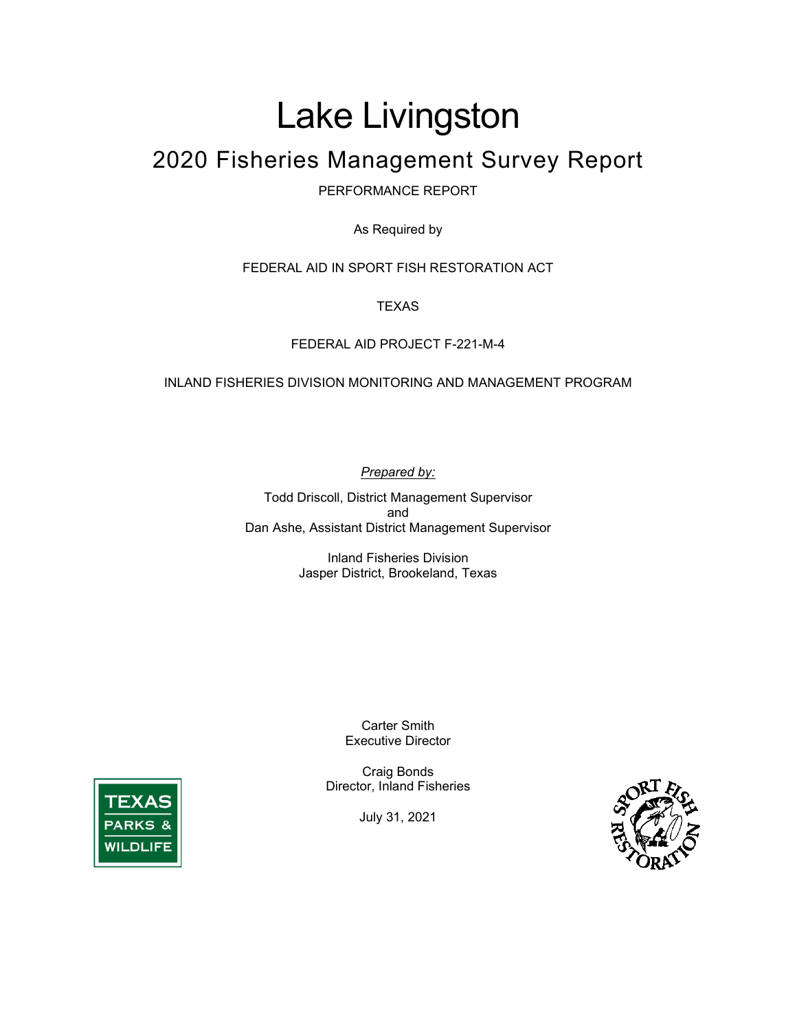# Lake Livingston

# 2020 Fisheries Management Survey Report

PERFORMANCE REPORT

As Required by

FEDERAL AID IN SPORT FISH RESTORATION ACT

**TEXAS** 

#### FEDERAL AID PROJECT F-221-M-4

#### INLAND FISHERIES DIVISION MONITORING AND MANAGEMENT PROGRAM

*Prepared by:*

Todd Driscoll, District Management Supervisor and Dan Ashe, Assistant District Management Supervisor

> Inland Fisheries Division Jasper District, Brookeland, Texas

> > Carter Smith Executive Director

Craig Bonds Director, Inland Fisheries

July 31, 2021



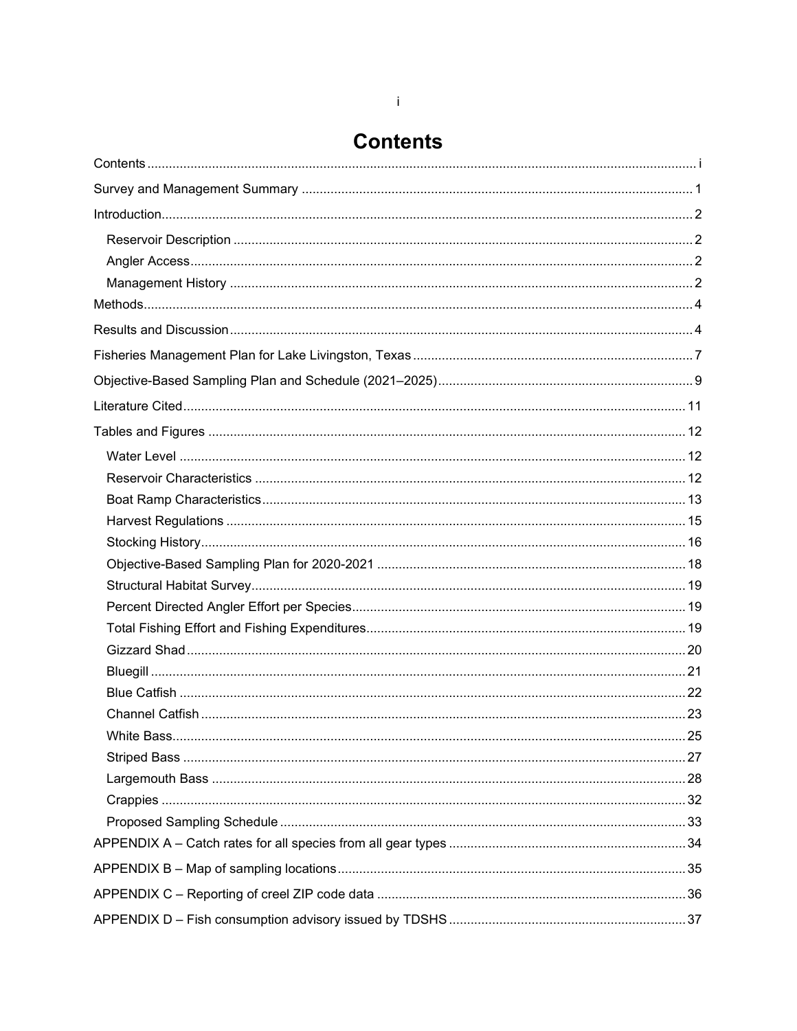### **Contents**

<span id="page-1-0"></span>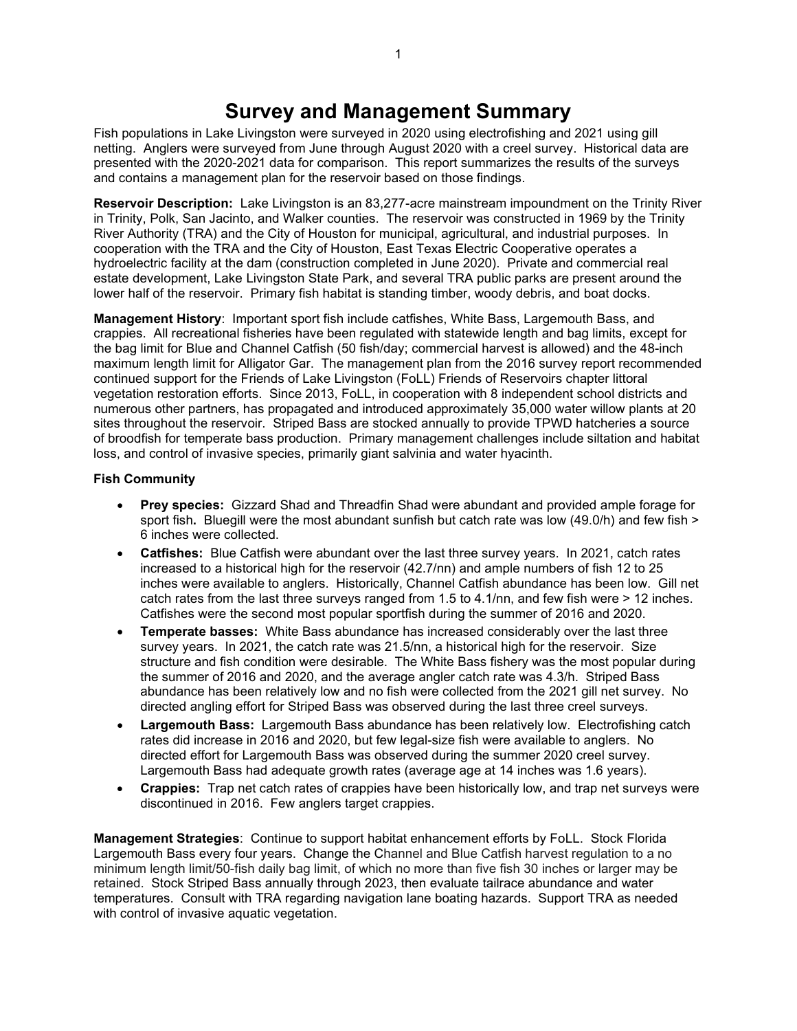### **Survey and Management Summary**

<span id="page-2-0"></span>Fish populations in Lake Livingston were surveyed in 2020 using electrofishing and 2021 using gill netting. Anglers were surveyed from June through August 2020 with a creel survey. Historical data are presented with the 2020-2021 data for comparison. This report summarizes the results of the surveys and contains a management plan for the reservoir based on those findings.

**Reservoir Description:** Lake Livingston is an 83,277-acre mainstream impoundment on the Trinity River in Trinity, Polk, San Jacinto, and Walker counties. The reservoir was constructed in 1969 by the Trinity River Authority (TRA) and the City of Houston for municipal, agricultural, and industrial purposes. In cooperation with the TRA and the City of Houston, East Texas Electric Cooperative operates a hydroelectric facility at the dam (construction completed in June 2020). Private and commercial real estate development, Lake Livingston State Park, and several TRA public parks are present around the lower half of the reservoir. Primary fish habitat is standing timber, woody debris, and boat docks.

**Management History**: Important sport fish include catfishes, White Bass, Largemouth Bass, and crappies. All recreational fisheries have been regulated with statewide length and bag limits, except for the bag limit for Blue and Channel Catfish (50 fish/day; commercial harvest is allowed) and the 48-inch maximum length limit for Alligator Gar. The management plan from the 2016 survey report recommended continued support for the Friends of Lake Livingston (FoLL) Friends of Reservoirs chapter littoral vegetation restoration efforts. Since 2013, FoLL, in cooperation with 8 independent school districts and numerous other partners, has propagated and introduced approximately 35,000 water willow plants at 20 sites throughout the reservoir. Striped Bass are stocked annually to provide TPWD hatcheries a source of broodfish for temperate bass production. Primary management challenges include siltation and habitat loss, and control of invasive species, primarily giant salvinia and water hyacinth.

#### **Fish Community**

- **Prey species:** Gizzard Shad and Threadfin Shad were abundant and provided ample forage for sport fish**.** Bluegill were the most abundant sunfish but catch rate was low (49.0/h) and few fish > 6 inches were collected.
- **Catfishes:** Blue Catfish were abundant over the last three survey years. In 2021, catch rates increased to a historical high for the reservoir (42.7/nn) and ample numbers of fish 12 to 25 inches were available to anglers. Historically, Channel Catfish abundance has been low. Gill net catch rates from the last three surveys ranged from 1.5 to 4.1/nn, and few fish were > 12 inches. Catfishes were the second most popular sportfish during the summer of 2016 and 2020.
- **Temperate basses:** White Bass abundance has increased considerably over the last three survey years. In 2021, the catch rate was 21.5/nn, a historical high for the reservoir. Size structure and fish condition were desirable. The White Bass fishery was the most popular during the summer of 2016 and 2020, and the average angler catch rate was 4.3/h. Striped Bass abundance has been relatively low and no fish were collected from the 2021 gill net survey. No directed angling effort for Striped Bass was observed during the last three creel surveys.
- **Largemouth Bass:** Largemouth Bass abundance has been relatively low. Electrofishing catch rates did increase in 2016 and 2020, but few legal-size fish were available to anglers. No directed effort for Largemouth Bass was observed during the summer 2020 creel survey. Largemouth Bass had adequate growth rates (average age at 14 inches was 1.6 years).
- **Crappies:** Trap net catch rates of crappies have been historically low, and trap net surveys were discontinued in 2016. Few anglers target crappies.

**Management Strategies**: Continue to support habitat enhancement efforts by FoLL. Stock Florida Largemouth Bass every four years. Change the Channel and Blue Catfish harvest regulation to a no minimum length limit/50-fish daily bag limit, of which no more than five fish 30 inches or larger may be retained. Stock Striped Bass annually through 2023, then evaluate tailrace abundance and water temperatures. Consult with TRA regarding navigation lane boating hazards. Support TRA as needed with control of invasive aquatic vegetation.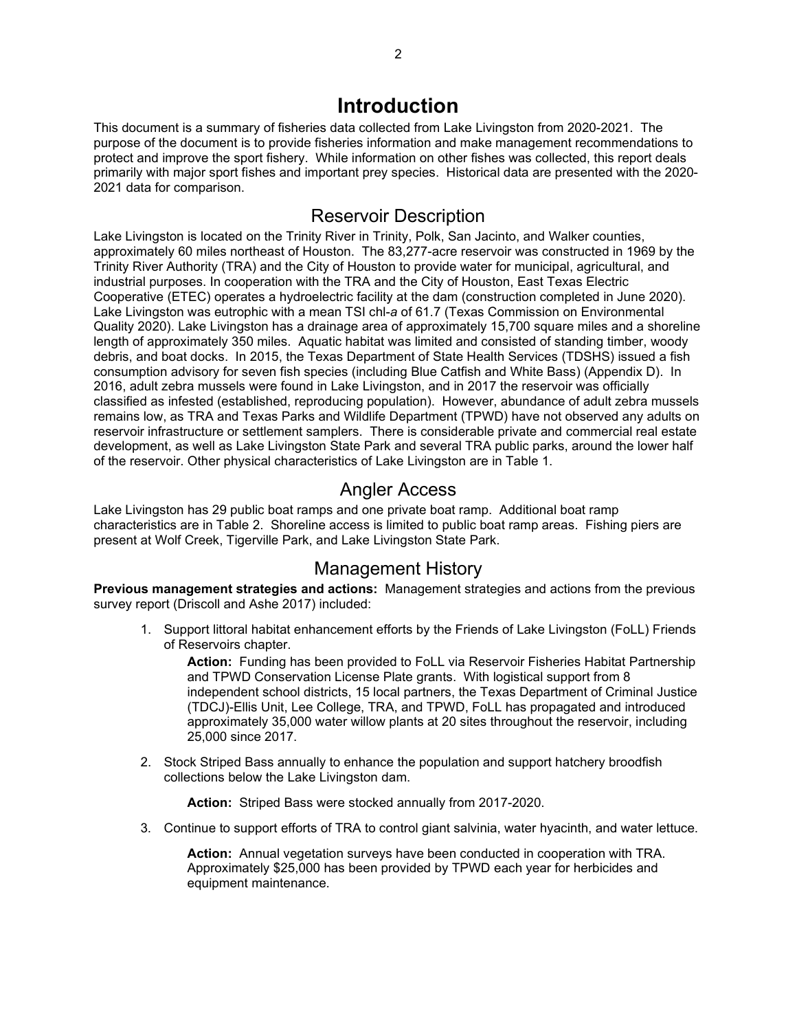### **Introduction**

<span id="page-3-0"></span>This document is a summary of fisheries data collected from Lake Livingston from 2020-2021. The purpose of the document is to provide fisheries information and make management recommendations to protect and improve the sport fishery. While information on other fishes was collected, this report deals primarily with major sport fishes and important prey species. Historical data are presented with the 2020- 2021 data for comparison.

### Reservoir Description

<span id="page-3-1"></span>Lake Livingston is located on the Trinity River in Trinity, Polk, San Jacinto, and Walker counties, approximately 60 miles northeast of Houston. The 83,277-acre reservoir was constructed in 1969 by the Trinity River Authority (TRA) and the City of Houston to provide water for municipal, agricultural, and industrial purposes. In cooperation with the TRA and the City of Houston, East Texas Electric Cooperative (ETEC) operates a hydroelectric facility at the dam (construction completed in June 2020). Lake Livingston was eutrophic with a mean TSI chl-*a* of 61.7 (Texas Commission on Environmental Quality 2020). Lake Livingston has a drainage area of approximately 15,700 square miles and a shoreline length of approximately 350 miles. Aquatic habitat was limited and consisted of standing timber, woody debris, and boat docks. In 2015, the Texas Department of State Health Services (TDSHS) issued a fish consumption advisory for seven fish species (including Blue Catfish and White Bass) (Appendix D). In 2016, adult zebra mussels were found in Lake Livingston, and in 2017 the reservoir was officially classified as infested (established, reproducing population). However, abundance of adult zebra mussels remains low, as TRA and Texas Parks and Wildlife Department (TPWD) have not observed any adults on reservoir infrastructure or settlement samplers. There is considerable private and commercial real estate development, as well as Lake Livingston State Park and several TRA public parks, around the lower half of the reservoir. Other physical characteristics of Lake Livingston are in Table 1.

### Angler Access

<span id="page-3-2"></span>Lake Livingston has 29 public boat ramps and one private boat ramp. Additional boat ramp characteristics are in Table 2. Shoreline access is limited to public boat ramp areas. Fishing piers are present at Wolf Creek, Tigerville Park, and Lake Livingston State Park.

### Management History

<span id="page-3-3"></span>**Previous management strategies and actions:** Management strategies and actions from the previous survey report (Driscoll and Ashe 2017) included:

1. Support littoral habitat enhancement efforts by the Friends of Lake Livingston (FoLL) Friends of Reservoirs chapter.

**Action:** Funding has been provided to FoLL via Reservoir Fisheries Habitat Partnership and TPWD Conservation License Plate grants. With logistical support from 8 independent school districts, 15 local partners, the Texas Department of Criminal Justice (TDCJ)-Ellis Unit, Lee College, TRA, and TPWD, FoLL has propagated and introduced approximately 35,000 water willow plants at 20 sites throughout the reservoir, including 25,000 since 2017.

2. Stock Striped Bass annually to enhance the population and support hatchery broodfish collections below the Lake Livingston dam.

**Action:** Striped Bass were stocked annually from 2017-2020.

3. Continue to support efforts of TRA to control giant salvinia, water hyacinth, and water lettuce.

**Action:** Annual vegetation surveys have been conducted in cooperation with TRA. Approximately \$25,000 has been provided by TPWD each year for herbicides and equipment maintenance.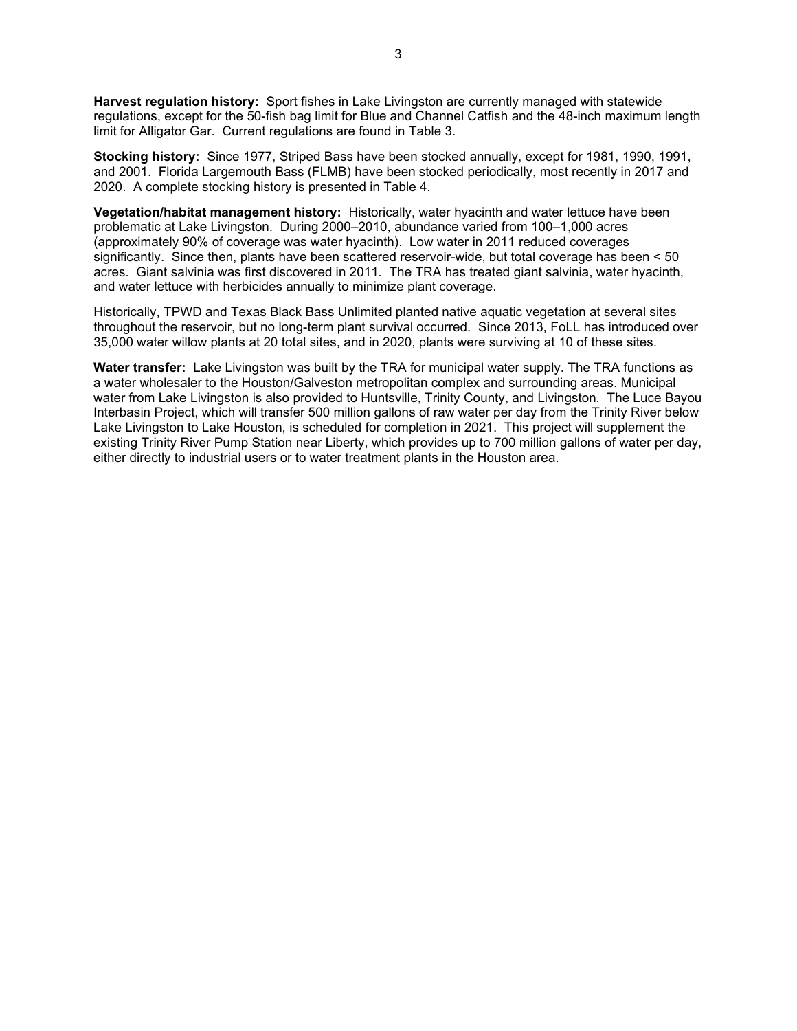**Harvest regulation history:** Sport fishes in Lake Livingston are currently managed with statewide regulations, except for the 50-fish bag limit for Blue and Channel Catfish and the 48-inch maximum length limit for Alligator Gar. Current regulations are found in Table 3.

**Stocking history:** Since 1977, Striped Bass have been stocked annually, except for 1981, 1990, 1991, and 2001. Florida Largemouth Bass (FLMB) have been stocked periodically, most recently in 2017 and 2020. A complete stocking history is presented in Table 4.

**Vegetation/habitat management history:** Historically, water hyacinth and water lettuce have been problematic at Lake Livingston. During 2000–2010, abundance varied from 100–1,000 acres (approximately 90% of coverage was water hyacinth). Low water in 2011 reduced coverages significantly. Since then, plants have been scattered reservoir-wide, but total coverage has been < 50 acres. Giant salvinia was first discovered in 2011. The TRA has treated giant salvinia, water hyacinth, and water lettuce with herbicides annually to minimize plant coverage.

Historically, TPWD and Texas Black Bass Unlimited planted native aquatic vegetation at several sites throughout the reservoir, but no long-term plant survival occurred. Since 2013, FoLL has introduced over 35,000 water willow plants at 20 total sites, and in 2020, plants were surviving at 10 of these sites.

**Water transfer:** Lake Livingston was built by the TRA for municipal water supply. The TRA functions as a water wholesaler to the Houston/Galveston metropolitan complex and surrounding areas. Municipal water from Lake Livingston is also provided to Huntsville, Trinity County, and Livingston. The Luce Bayou Interbasin Project, which will transfer 500 million gallons of raw water per day from the Trinity River below Lake Livingston to Lake Houston, is scheduled for completion in 2021. This project will supplement the existing Trinity River Pump Station near Liberty, which provides up to 700 million gallons of water per day, either directly to industrial users or to water treatment plants in the Houston area.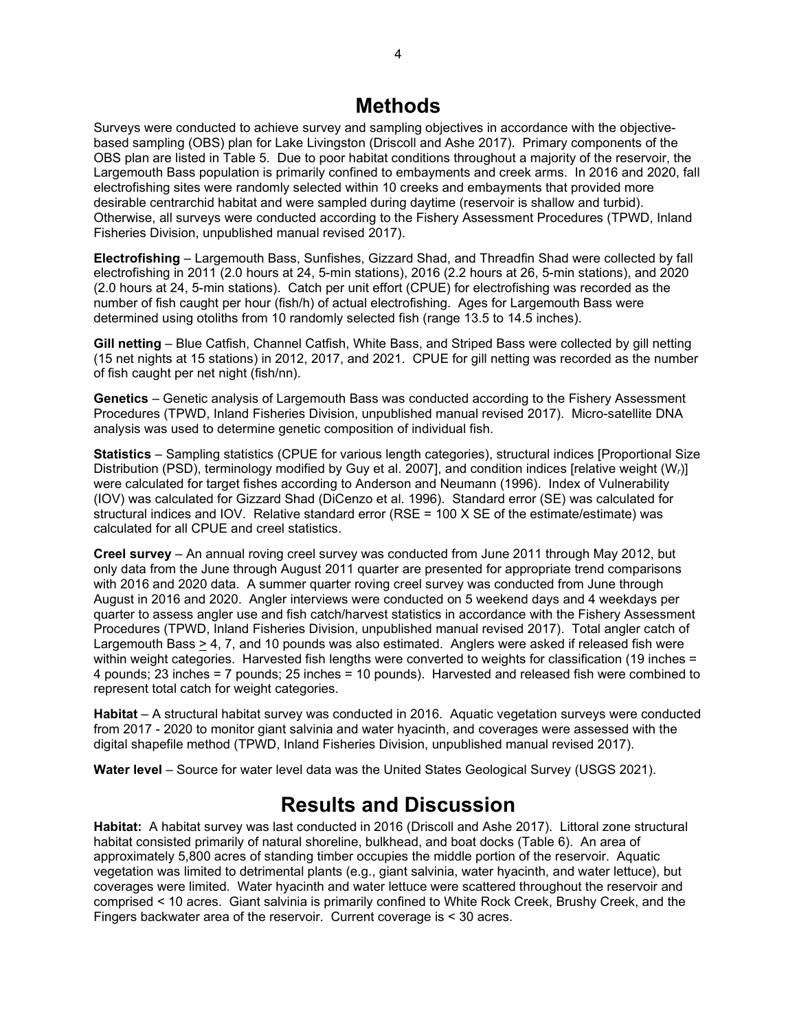### **Methods**

<span id="page-5-0"></span>Surveys were conducted to achieve survey and sampling objectives in accordance with the objectivebased sampling (OBS) plan for Lake Livingston (Driscoll and Ashe 2017). Primary components of the OBS plan are listed in Table 5. Due to poor habitat conditions throughout a majority of the reservoir, the Largemouth Bass population is primarily confined to embayments and creek arms. In 2016 and 2020, fall electrofishing sites were randomly selected within 10 creeks and embayments that provided more desirable centrarchid habitat and were sampled during daytime (reservoir is shallow and turbid). Otherwise, all surveys were conducted according to the Fishery Assessment Procedures (TPWD, Inland Fisheries Division, unpublished manual revised 2017).

**Electrofishing** – Largemouth Bass, Sunfishes, Gizzard Shad, and Threadfin Shad were collected by fall electrofishing in 2011 (2.0 hours at 24, 5-min stations), 2016 (2.2 hours at 26, 5-min stations), and 2020 (2.0 hours at 24, 5-min stations). Catch per unit effort (CPUE) for electrofishing was recorded as the number of fish caught per hour (fish/h) of actual electrofishing. Ages for Largemouth Bass were determined using otoliths from 10 randomly selected fish (range 13.5 to 14.5 inches).

**Gill netting** – Blue Catfish, Channel Catfish, White Bass, and Striped Bass were collected by gill netting (15 net nights at 15 stations) in 2012, 2017, and 2021. CPUE for gill netting was recorded as the number of fish caught per net night (fish/nn).

**Genetics** – Genetic analysis of Largemouth Bass was conducted according to the Fishery Assessment Procedures (TPWD, Inland Fisheries Division, unpublished manual revised 2017). Micro-satellite DNA analysis was used to determine genetic composition of individual fish.

**Statistics** – Sampling statistics (CPUE for various length categories), structural indices [Proportional Size Distribution (PSD), terminology modified by Guy et al. 2007], and condition indices [relative weight (W*r*)] were calculated for target fishes according to Anderson and Neumann (1996). Index of Vulnerability (IOV) was calculated for Gizzard Shad (DiCenzo et al. 1996). Standard error (SE) was calculated for structural indices and IOV. Relative standard error (RSE = 100 X SE of the estimate/estimate) was calculated for all CPUE and creel statistics.

**Creel survey** – An annual roving creel survey was conducted from June 2011 through May 2012, but only data from the June through August 2011 quarter are presented for appropriate trend comparisons with 2016 and 2020 data. A summer quarter roving creel survey was conducted from June through August in 2016 and 2020. Angler interviews were conducted on 5 weekend days and 4 weekdays per quarter to assess angler use and fish catch/harvest statistics in accordance with the Fishery Assessment Procedures (TPWD, Inland Fisheries Division, unpublished manual revised 2017). Total angler catch of Largemouth Bass  $\geq 4$ , 7, and 10 pounds was also estimated. Anglers were asked if released fish were within weight categories. Harvested fish lengths were converted to weights for classification (19 inches = 4 pounds; 23 inches = 7 pounds; 25 inches = 10 pounds). Harvested and released fish were combined to represent total catch for weight categories.

**Habitat** – A structural habitat survey was conducted in 2016. Aquatic vegetation surveys were conducted from 2017 - 2020 to monitor giant salvinia and water hyacinth, and coverages were assessed with the digital shapefile method (TPWD, Inland Fisheries Division, unpublished manual revised 2017).

<span id="page-5-1"></span>**Water level** – Source for water level data was the United States Geological Survey (USGS 2021).

### **Results and Discussion**

**Habitat:** A habitat survey was last conducted in 2016 (Driscoll and Ashe 2017). Littoral zone structural habitat consisted primarily of natural shoreline, bulkhead, and boat docks (Table 6). An area of approximately 5,800 acres of standing timber occupies the middle portion of the reservoir. Aquatic vegetation was limited to detrimental plants (e.g., giant salvinia, water hyacinth, and water lettuce), but coverages were limited. Water hyacinth and water lettuce were scattered throughout the reservoir and comprised < 10 acres. Giant salvinia is primarily confined to White Rock Creek, Brushy Creek, and the Fingers backwater area of the reservoir. Current coverage is < 30 acres.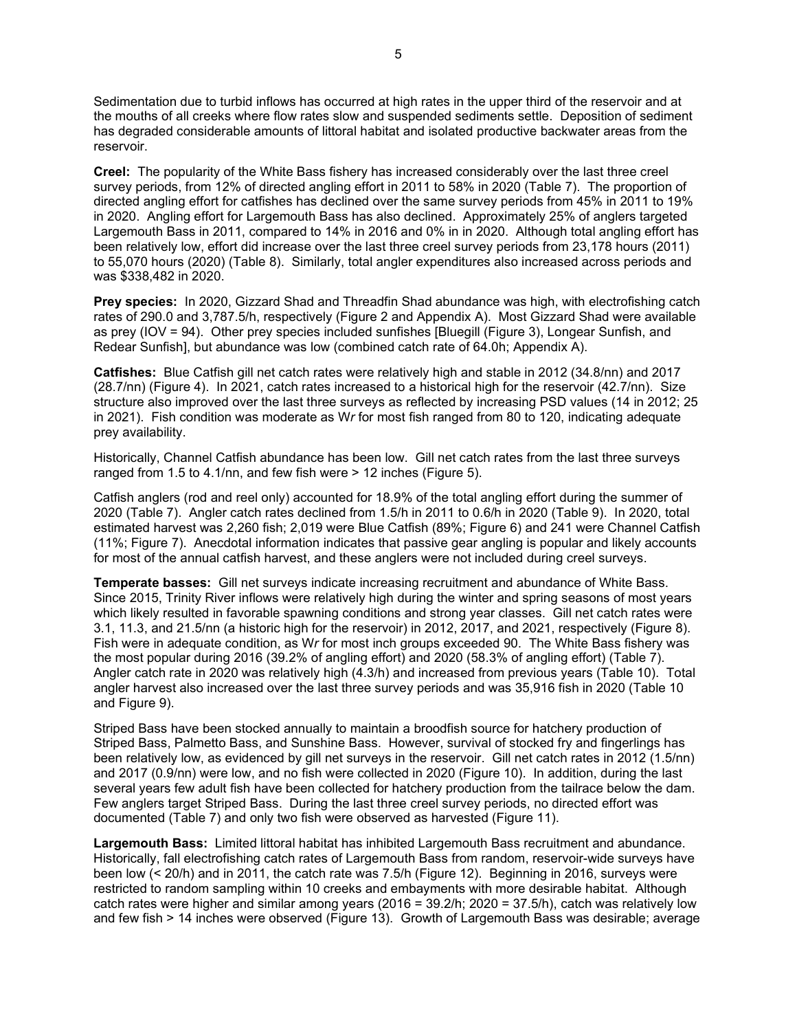Sedimentation due to turbid inflows has occurred at high rates in the upper third of the reservoir and at the mouths of all creeks where flow rates slow and suspended sediments settle. Deposition of sediment has degraded considerable amounts of littoral habitat and isolated productive backwater areas from the reservoir.

**Creel:** The popularity of the White Bass fishery has increased considerably over the last three creel survey periods, from 12% of directed angling effort in 2011 to 58% in 2020 (Table 7). The proportion of directed angling effort for catfishes has declined over the same survey periods from 45% in 2011 to 19% in 2020. Angling effort for Largemouth Bass has also declined. Approximately 25% of anglers targeted Largemouth Bass in 2011, compared to 14% in 2016 and 0% in in 2020. Although total angling effort has been relatively low, effort did increase over the last three creel survey periods from 23,178 hours (2011) to 55,070 hours (2020) (Table 8). Similarly, total angler expenditures also increased across periods and was \$338,482 in 2020.

**Prey species:** In 2020, Gizzard Shad and Threadfin Shad abundance was high, with electrofishing catch rates of 290.0 and 3,787.5/h, respectively (Figure 2 and Appendix A). Most Gizzard Shad were available as prey (IOV = 94). Other prey species included sunfishes [Bluegill (Figure 3), Longear Sunfish, and Redear Sunfish], but abundance was low (combined catch rate of 64.0h; Appendix A).

**Catfishes:** Blue Catfish gill net catch rates were relatively high and stable in 2012 (34.8/nn) and 2017 (28.7/nn) (Figure 4). In 2021, catch rates increased to a historical high for the reservoir (42.7/nn). Size structure also improved over the last three surveys as reflected by increasing PSD values (14 in 2012; 25 in 2021). Fish condition was moderate as W*r* for most fish ranged from 80 to 120, indicating adequate prey availability.

Historically, Channel Catfish abundance has been low. Gill net catch rates from the last three surveys ranged from 1.5 to 4.1/nn, and few fish were > 12 inches (Figure 5).

Catfish anglers (rod and reel only) accounted for 18.9% of the total angling effort during the summer of 2020 (Table 7). Angler catch rates declined from 1.5/h in 2011 to 0.6/h in 2020 (Table 9). In 2020, total estimated harvest was 2,260 fish; 2,019 were Blue Catfish (89%; Figure 6) and 241 were Channel Catfish (11%; Figure 7). Anecdotal information indicates that passive gear angling is popular and likely accounts for most of the annual catfish harvest, and these anglers were not included during creel surveys.

**Temperate basses:** Gill net surveys indicate increasing recruitment and abundance of White Bass. Since 2015, Trinity River inflows were relatively high during the winter and spring seasons of most years which likely resulted in favorable spawning conditions and strong year classes. Gill net catch rates were 3.1, 11.3, and 21.5/nn (a historic high for the reservoir) in 2012, 2017, and 2021, respectively (Figure 8). Fish were in adequate condition, as W*r* for most inch groups exceeded 90. The White Bass fishery was the most popular during 2016 (39.2% of angling effort) and 2020 (58.3% of angling effort) (Table 7). Angler catch rate in 2020 was relatively high (4.3/h) and increased from previous years (Table 10). Total angler harvest also increased over the last three survey periods and was 35,916 fish in 2020 (Table 10 and Figure 9).

Striped Bass have been stocked annually to maintain a broodfish source for hatchery production of Striped Bass, Palmetto Bass, and Sunshine Bass. However, survival of stocked fry and fingerlings has been relatively low, as evidenced by gill net surveys in the reservoir. Gill net catch rates in 2012 (1.5/nn) and 2017 (0.9/nn) were low, and no fish were collected in 2020 (Figure 10). In addition, during the last several years few adult fish have been collected for hatchery production from the tailrace below the dam. Few anglers target Striped Bass. During the last three creel survey periods, no directed effort was documented (Table 7) and only two fish were observed as harvested (Figure 11).

**Largemouth Bass:** Limited littoral habitat has inhibited Largemouth Bass recruitment and abundance. Historically, fall electrofishing catch rates of Largemouth Bass from random, reservoir-wide surveys have been low (< 20/h) and in 2011, the catch rate was 7.5/h (Figure 12). Beginning in 2016, surveys were restricted to random sampling within 10 creeks and embayments with more desirable habitat. Although catch rates were higher and similar among years (2016 = 39.2/h; 2020 = 37.5/h), catch was relatively low and few fish > 14 inches were observed (Figure 13). Growth of Largemouth Bass was desirable; average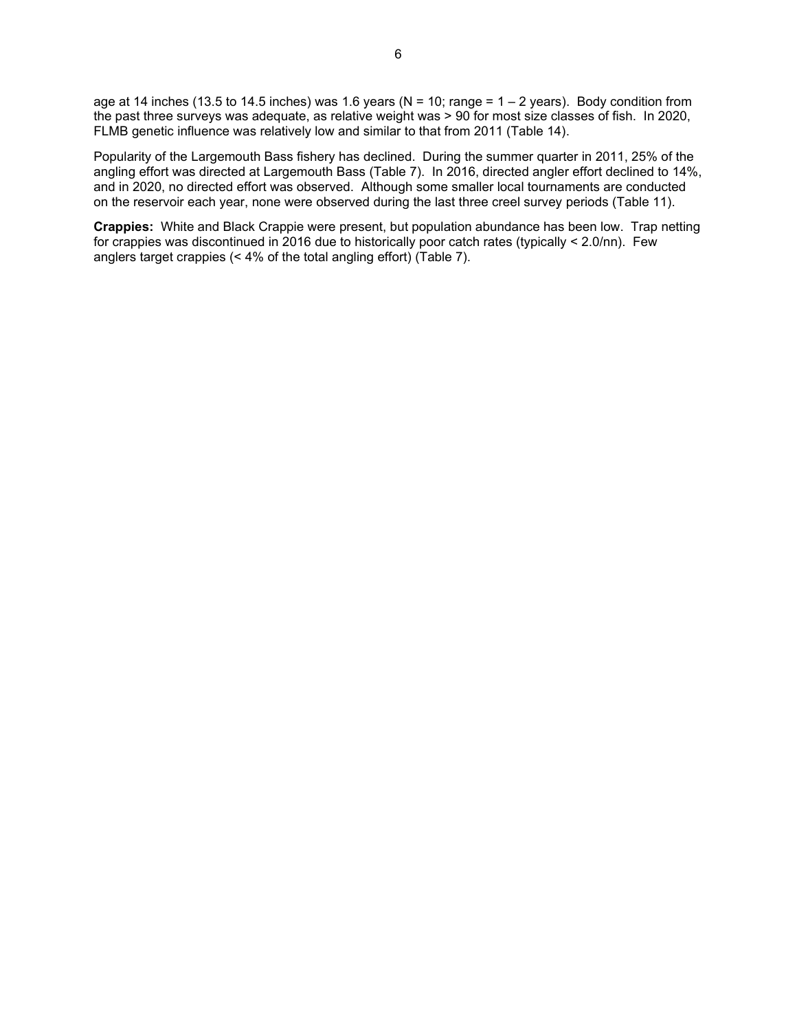age at 14 inches (13.5 to 14.5 inches) was 1.6 years ( $N = 10$ ; range =  $1 - 2$  years). Body condition from the past three surveys was adequate, as relative weight was > 90 for most size classes of fish. In 2020, FLMB genetic influence was relatively low and similar to that from 2011 (Table 14).

Popularity of the Largemouth Bass fishery has declined. During the summer quarter in 2011, 25% of the angling effort was directed at Largemouth Bass (Table 7). In 2016, directed angler effort declined to 14%, and in 2020, no directed effort was observed. Although some smaller local tournaments are conducted on the reservoir each year, none were observed during the last three creel survey periods (Table 11).

**Crappies:** White and Black Crappie were present, but population abundance has been low. Trap netting for crappies was discontinued in 2016 due to historically poor catch rates (typically < 2.0/nn). Few anglers target crappies (< 4% of the total angling effort) (Table 7).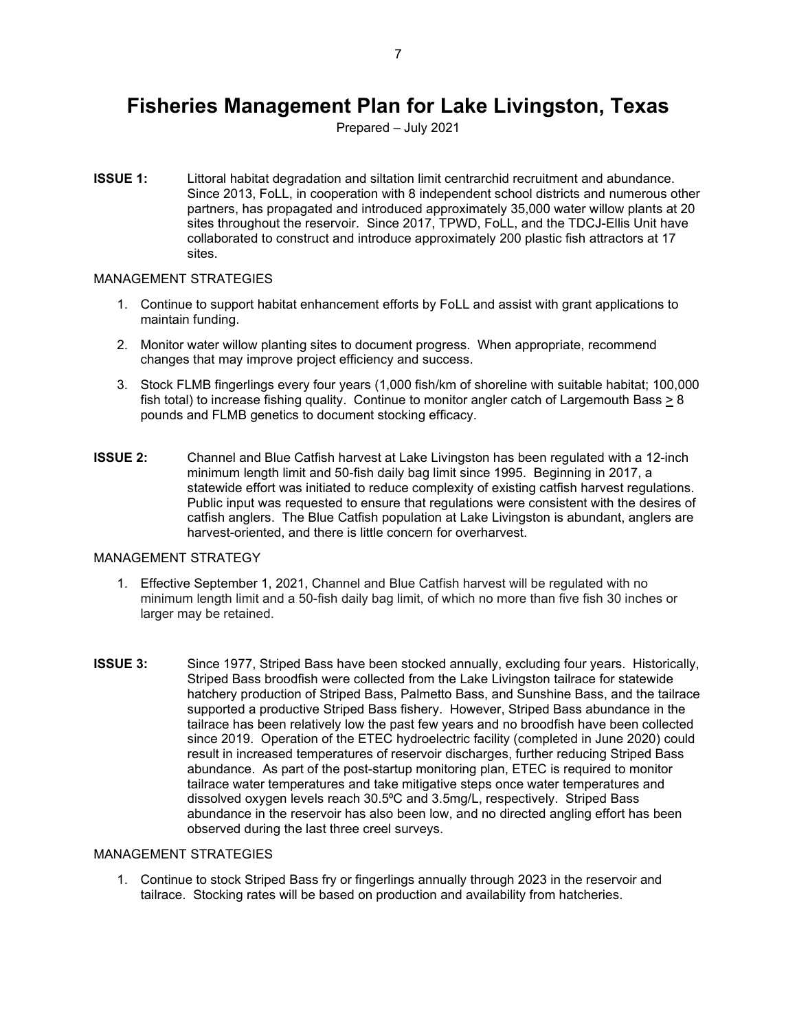### <span id="page-8-0"></span>**Fisheries Management Plan for Lake Livingston, Texas**

Prepared – July 2021

**ISSUE 1:** Littoral habitat degradation and siltation limit centrarchid recruitment and abundance. Since 2013, FoLL, in cooperation with 8 independent school districts and numerous other partners, has propagated and introduced approximately 35,000 water willow plants at 20 sites throughout the reservoir. Since 2017, TPWD, FoLL, and the TDCJ-Ellis Unit have collaborated to construct and introduce approximately 200 plastic fish attractors at 17 sites.

#### MANAGEMENT STRATEGIES

- 1. Continue to support habitat enhancement efforts by FoLL and assist with grant applications to maintain funding.
- 2. Monitor water willow planting sites to document progress. When appropriate, recommend changes that may improve project efficiency and success.
- 3. Stock FLMB fingerlings every four years (1,000 fish/km of shoreline with suitable habitat; 100,000 fish total) to increase fishing quality. Continue to monitor angler catch of Largemouth Bass  $\geq 8$ pounds and FLMB genetics to document stocking efficacy.
- **ISSUE 2:** Channel and Blue Catfish harvest at Lake Livingston has been regulated with a 12-inch minimum length limit and 50-fish daily bag limit since 1995. Beginning in 2017, a statewide effort was initiated to reduce complexity of existing catfish harvest regulations. Public input was requested to ensure that regulations were consistent with the desires of catfish anglers. The Blue Catfish population at Lake Livingston is abundant, anglers are harvest-oriented, and there is little concern for overharvest.

#### MANAGEMENT STRATEGY

- 1. Effective September 1, 2021, Channel and Blue Catfish harvest will be regulated with no minimum length limit and a 50-fish daily bag limit, of which no more than five fish 30 inches or larger may be retained.
- **ISSUE 3:** Since 1977, Striped Bass have been stocked annually, excluding four years. Historically, Striped Bass broodfish were collected from the Lake Livingston tailrace for statewide hatchery production of Striped Bass, Palmetto Bass, and Sunshine Bass, and the tailrace supported a productive Striped Bass fishery. However, Striped Bass abundance in the tailrace has been relatively low the past few years and no broodfish have been collected since 2019. Operation of the ETEC hydroelectric facility (completed in June 2020) could result in increased temperatures of reservoir discharges, further reducing Striped Bass abundance. As part of the post-startup monitoring plan, ETEC is required to monitor tailrace water temperatures and take mitigative steps once water temperatures and dissolved oxygen levels reach 30.5°C and 3.5mg/L, respectively. Striped Bass abundance in the reservoir has also been low, and no directed angling effort has been observed during the last three creel surveys.

#### MANAGEMENT STRATEGIES

1. Continue to stock Striped Bass fry or fingerlings annually through 2023 in the reservoir and tailrace. Stocking rates will be based on production and availability from hatcheries.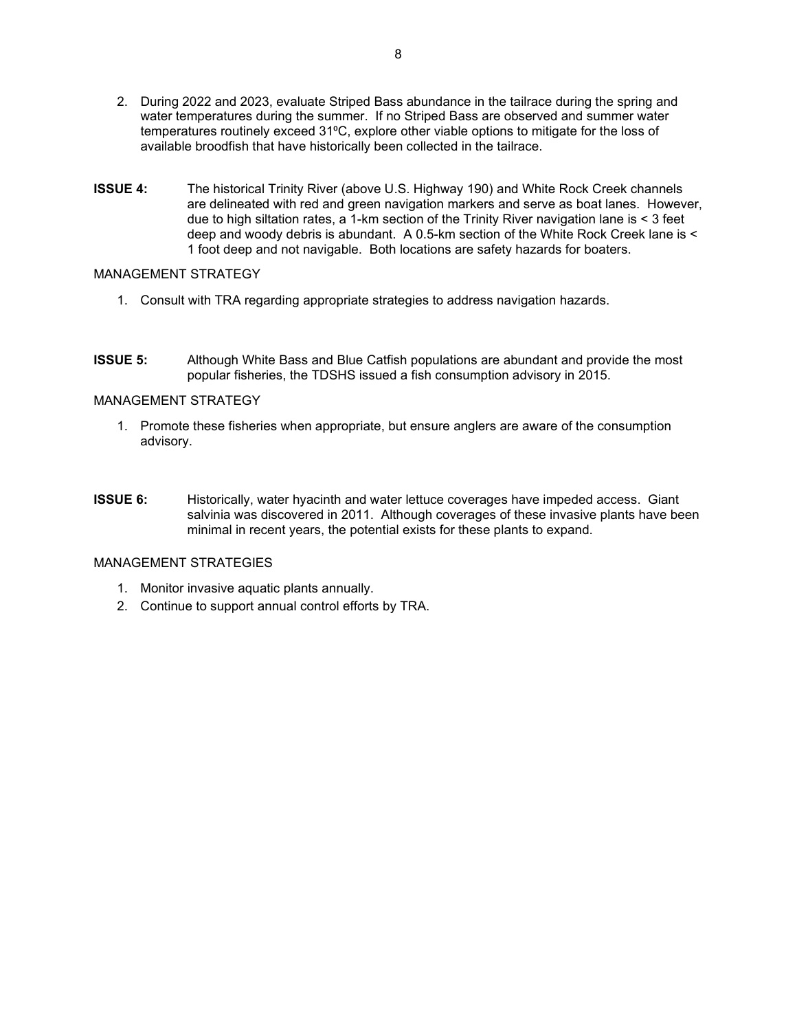- 2. During 2022 and 2023, evaluate Striped Bass abundance in the tailrace during the spring and water temperatures during the summer. If no Striped Bass are observed and summer water temperatures routinely exceed 31°C, explore other viable options to mitigate for the loss of available broodfish that have historically been collected in the tailrace.
- **ISSUE 4:** The historical Trinity River (above U.S. Highway 190) and White Rock Creek channels are delineated with red and green navigation markers and serve as boat lanes. However, due to high siltation rates, a  $1$ -km section of the Trinity River navigation lane is  $\leq 3$  feet deep and woody debris is abundant. A 0.5-km section of the White Rock Creek lane is < 1 foot deep and not navigable. Both locations are safety hazards for boaters.

#### MANAGEMENT STRATEGY

- 1. Consult with TRA regarding appropriate strategies to address navigation hazards.
- **ISSUE 5:** Although White Bass and Blue Catfish populations are abundant and provide the most popular fisheries, the TDSHS issued a fish consumption advisory in 2015.

#### MANAGEMENT STRATEGY

- 1. Promote these fisheries when appropriate, but ensure anglers are aware of the consumption advisory.
- **ISSUE 6:** Historically, water hyacinth and water lettuce coverages have impeded access. Giant salvinia was discovered in 2011. Although coverages of these invasive plants have been minimal in recent years, the potential exists for these plants to expand.

#### MANAGEMENT STRATEGIES

- 1. Monitor invasive aquatic plants annually.
- 2. Continue to support annual control efforts by TRA.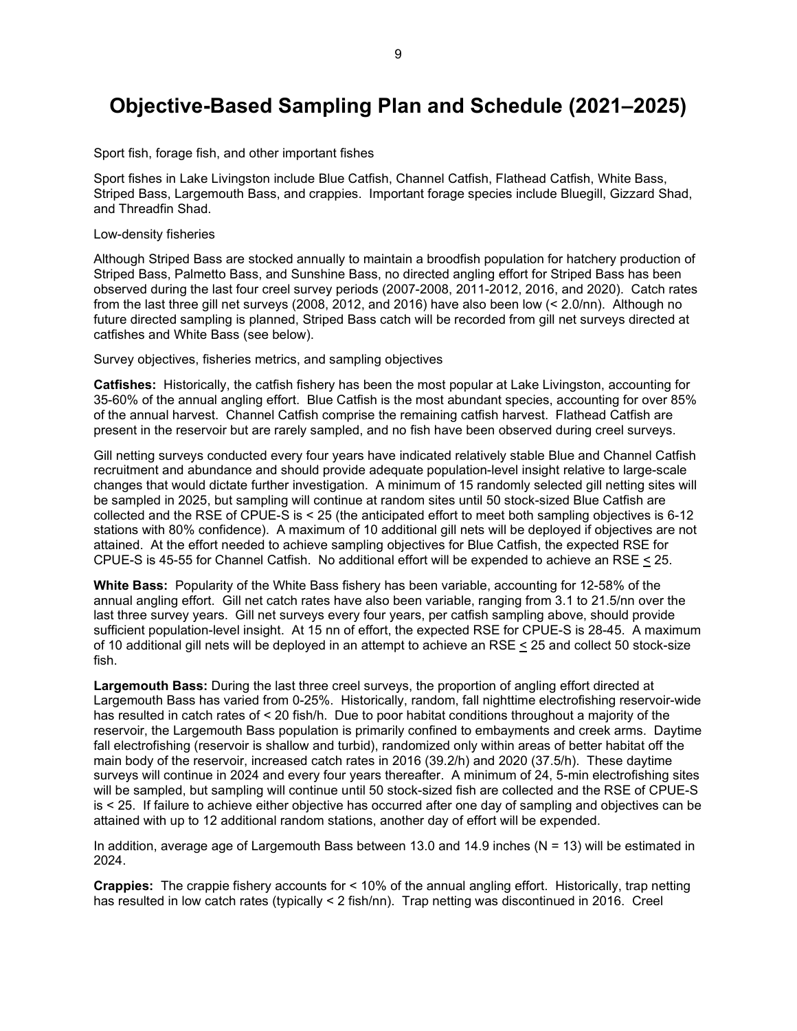### <span id="page-10-0"></span>**Objective-Based Sampling Plan and Schedule (2021–2025)**

Sport fish, forage fish, and other important fishes

Sport fishes in Lake Livingston include Blue Catfish, Channel Catfish, Flathead Catfish, White Bass, Striped Bass, Largemouth Bass, and crappies. Important forage species include Bluegill, Gizzard Shad, and Threadfin Shad.

#### Low-density fisheries

Although Striped Bass are stocked annually to maintain a broodfish population for hatchery production of Striped Bass, Palmetto Bass, and Sunshine Bass, no directed angling effort for Striped Bass has been observed during the last four creel survey periods (2007-2008, 2011-2012, 2016, and 2020). Catch rates from the last three gill net surveys (2008, 2012, and 2016) have also been low (< 2.0/nn). Although no future directed sampling is planned, Striped Bass catch will be recorded from gill net surveys directed at catfishes and White Bass (see below).

Survey objectives, fisheries metrics, and sampling objectives

**Catfishes:** Historically, the catfish fishery has been the most popular at Lake Livingston, accounting for 35-60% of the annual angling effort. Blue Catfish is the most abundant species, accounting for over 85% of the annual harvest. Channel Catfish comprise the remaining catfish harvest. Flathead Catfish are present in the reservoir but are rarely sampled, and no fish have been observed during creel surveys.

Gill netting surveys conducted every four years have indicated relatively stable Blue and Channel Catfish recruitment and abundance and should provide adequate population-level insight relative to large-scale changes that would dictate further investigation. A minimum of 15 randomly selected gill netting sites will be sampled in 2025, but sampling will continue at random sites until 50 stock-sized Blue Catfish are collected and the RSE of CPUE-S is < 25 (the anticipated effort to meet both sampling objectives is 6-12 stations with 80% confidence). A maximum of 10 additional gill nets will be deployed if objectives are not attained. At the effort needed to achieve sampling objectives for Blue Catfish, the expected RSE for CPUE-S is 45-55 for Channel Catfish. No additional effort will be expended to achieve an RSE < 25.

**White Bass:** Popularity of the White Bass fishery has been variable, accounting for 12-58% of the annual angling effort. Gill net catch rates have also been variable, ranging from 3.1 to 21.5/nn over the last three survey years. Gill net surveys every four years, per catfish sampling above, should provide sufficient population-level insight. At 15 nn of effort, the expected RSE for CPUE-S is 28-45. A maximum of 10 additional gill nets will be deployed in an attempt to achieve an RSE < 25 and collect 50 stock-size fish.

**Largemouth Bass:** During the last three creel surveys, the proportion of angling effort directed at Largemouth Bass has varied from 0-25%. Historically, random, fall nighttime electrofishing reservoir-wide has resulted in catch rates of < 20 fish/h. Due to poor habitat conditions throughout a majority of the reservoir, the Largemouth Bass population is primarily confined to embayments and creek arms. Daytime fall electrofishing (reservoir is shallow and turbid), randomized only within areas of better habitat off the main body of the reservoir, increased catch rates in 2016 (39.2/h) and 2020 (37.5/h). These daytime surveys will continue in 2024 and every four years thereafter. A minimum of 24, 5-min electrofishing sites will be sampled, but sampling will continue until 50 stock-sized fish are collected and the RSE of CPUE-S is < 25. If failure to achieve either objective has occurred after one day of sampling and objectives can be attained with up to 12 additional random stations, another day of effort will be expended.

In addition, average age of Largemouth Bass between 13.0 and 14.9 inches ( $N = 13$ ) will be estimated in 2024.

**Crappies:** The crappie fishery accounts for < 10% of the annual angling effort. Historically, trap netting has resulted in low catch rates (typically < 2 fish/nn). Trap netting was discontinued in 2016. Creel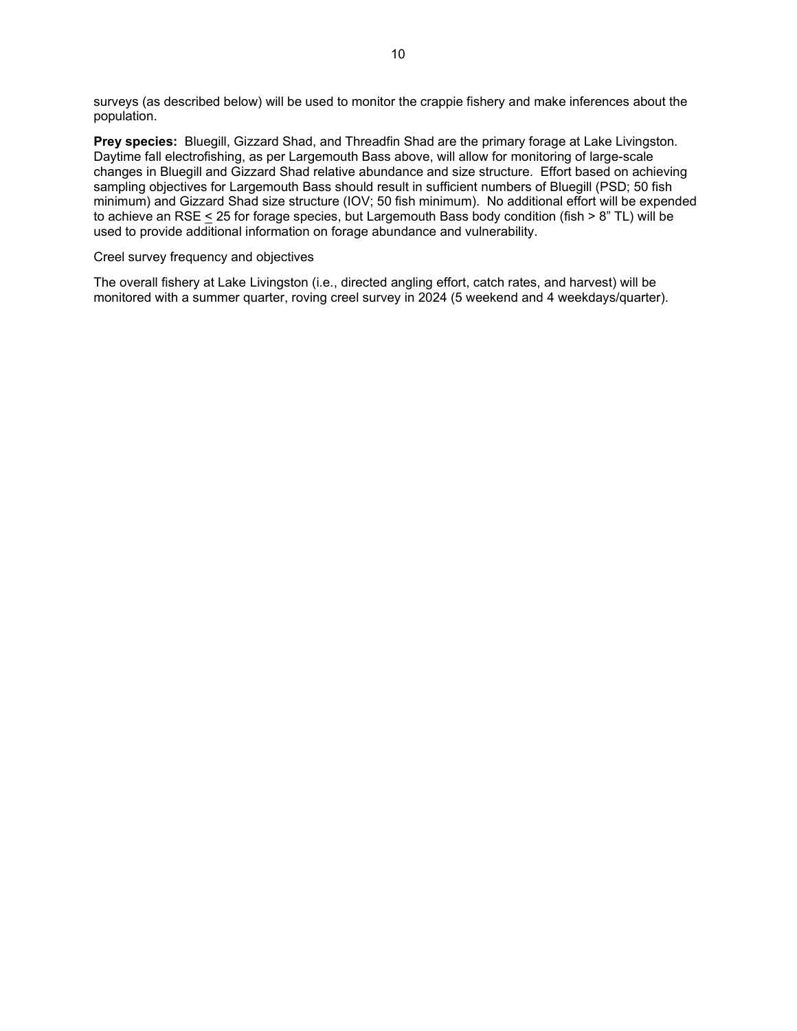surveys (as described below) will be used to monitor the crappie fishery and make inferences about the population.

**Prey species:** Bluegill, Gizzard Shad, and Threadfin Shad are the primary forage at Lake Livingston. Daytime fall electrofishing, as per Largemouth Bass above, will allow for monitoring of large-scale changes in Bluegill and Gizzard Shad relative abundance and size structure. Effort based on achieving sampling objectives for Largemouth Bass should result in sufficient numbers of Bluegill (PSD; 50 fish minimum) and Gizzard Shad size structure (IOV; 50 fish minimum). No additional effort will be expended to achieve an RSE < 25 for forage species, but Largemouth Bass body condition (fish > 8" TL) will be used to provide additional information on forage abundance and vulnerability.

#### Creel survey frequency and objectives

The overall fishery at Lake Livingston (i.e., directed angling effort, catch rates, and harvest) will be monitored with a summer quarter, roving creel survey in 2024 (5 weekend and 4 weekdays/quarter).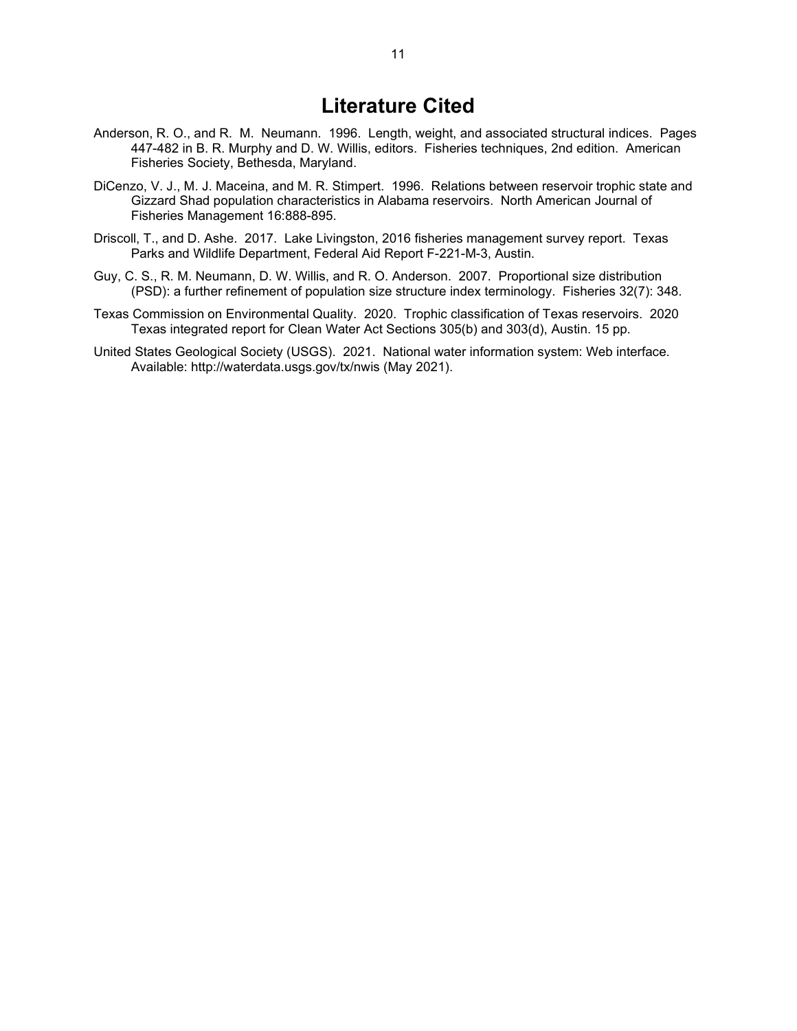### **Literature Cited**

- <span id="page-12-0"></span>Anderson, R. O., and R. M. Neumann. 1996. Length, weight, and associated structural indices. Pages 447-482 in B. R. Murphy and D. W. Willis, editors. Fisheries techniques, 2nd edition. American Fisheries Society, Bethesda, Maryland.
- DiCenzo, V. J., M. J. Maceina, and M. R. Stimpert. 1996. Relations between reservoir trophic state and Gizzard Shad population characteristics in Alabama reservoirs. North American Journal of Fisheries Management 16:888-895.
- Driscoll, T., and D. Ashe. 2017. Lake Livingston, 2016 fisheries management survey report. Texas Parks and Wildlife Department, Federal Aid Report F-221-M-3, Austin.
- Guy, C. S., R. M. Neumann, D. W. Willis, and R. O. Anderson. 2007. Proportional size distribution (PSD): a further refinement of population size structure index terminology. Fisheries 32(7): 348.
- Texas Commission on Environmental Quality. 2020. Trophic classification of Texas reservoirs. 2020 Texas integrated report for Clean Water Act Sections 305(b) and 303(d), Austin. 15 pp.
- United States Geological Society (USGS). 2021. National water information system: Web interface. Available: http://waterdata.usgs.gov/tx/nwis (May 2021).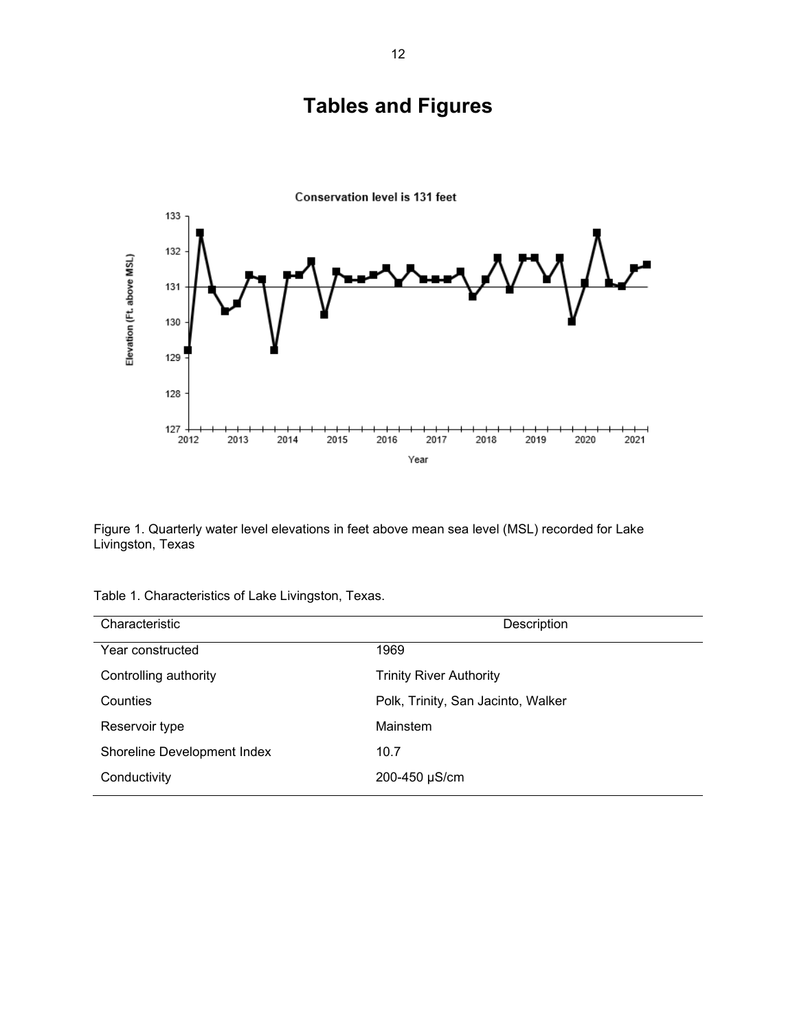

<span id="page-13-1"></span><span id="page-13-0"></span>

Figure 1. Quarterly water level elevations in feet above mean sea level (MSL) recorded for Lake Livingston, Texas

| Characteristic              | Description                        |
|-----------------------------|------------------------------------|
| Year constructed            | 1969                               |
| Controlling authority       | <b>Trinity River Authority</b>     |
| Counties                    | Polk, Trinity, San Jacinto, Walker |
| Reservoir type              | Mainstem                           |
| Shoreline Development Index | 10.7                               |
| Conductivity                | 200-450 µS/cm                      |

Table 1. Characteristics of Lake Livingston, Texas.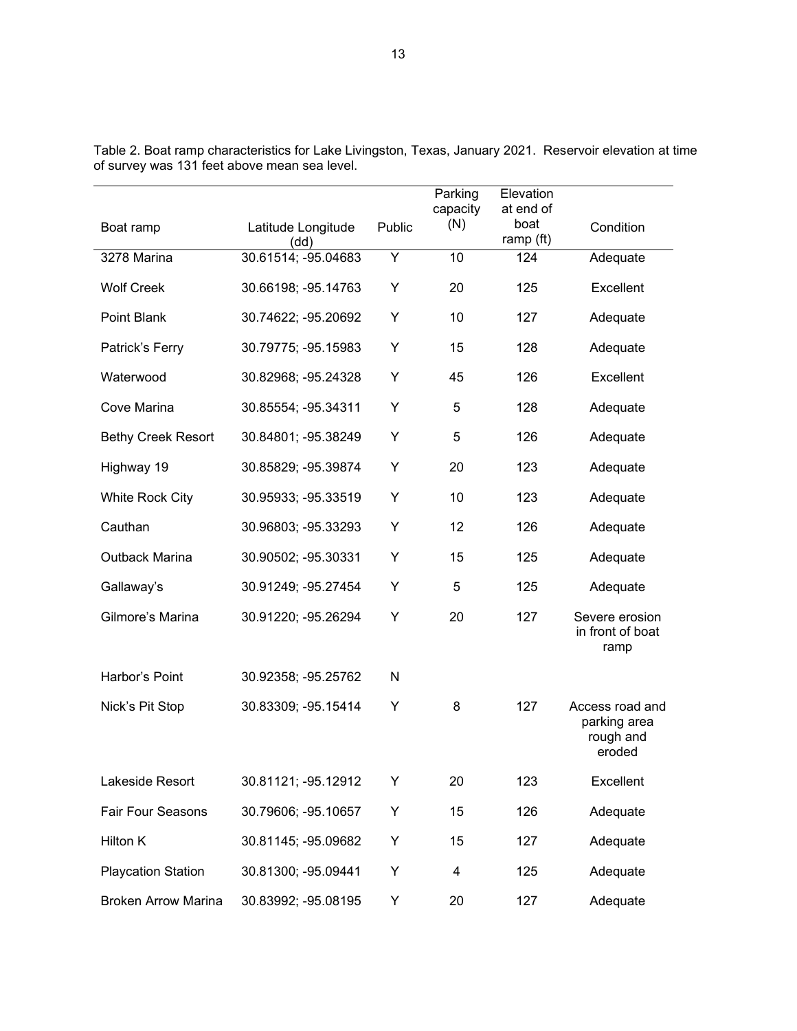|                            |                            |        | Parking<br>capacity | Elevation<br>at end of |                                                        |
|----------------------------|----------------------------|--------|---------------------|------------------------|--------------------------------------------------------|
| Boat ramp                  | Latitude Longitude<br>(dd) | Public | (N)                 | boat<br>ramp (ft)      | Condition                                              |
| 3278 Marina                | 30.61514; -95.04683        | Υ      | 10                  | 124                    | Adequate                                               |
| <b>Wolf Creek</b>          | 30.66198; -95.14763        | Y      | 20                  | 125                    | Excellent                                              |
| Point Blank                | 30.74622; -95.20692        | Υ      | 10                  | 127                    | Adequate                                               |
| Patrick's Ferry            | 30.79775; -95.15983        | Υ      | 15                  | 128                    | Adequate                                               |
| Waterwood                  | 30.82968; -95.24328        | Υ      | 45                  | 126                    | Excellent                                              |
| Cove Marina                | 30.85554; -95.34311        | Υ      | 5                   | 128                    | Adequate                                               |
| <b>Bethy Creek Resort</b>  | 30.84801; -95.38249        | Υ      | 5                   | 126                    | Adequate                                               |
| Highway 19                 | 30.85829; -95.39874        | Y      | 20                  | 123                    | Adequate                                               |
| <b>White Rock City</b>     | 30.95933; -95.33519        | Υ      | 10                  | 123                    | Adequate                                               |
| Cauthan                    | 30.96803; -95.33293        | Υ      | 12                  | 126                    | Adequate                                               |
| Outback Marina             | 30.90502; -95.30331        | Y      | 15                  | 125                    | Adequate                                               |
| Gallaway's                 | 30.91249; -95.27454        | Y      | 5                   | 125                    | Adequate                                               |
| Gilmore's Marina           | 30.91220; -95.26294        | Υ      | 20                  | 127                    | Severe erosion<br>in front of boat<br>ramp             |
| Harbor's Point             | 30.92358; -95.25762        | N      |                     |                        |                                                        |
| Nick's Pit Stop            | 30.83309; -95.15414        | Υ      | 8                   | 127                    | Access road and<br>parking area<br>rough and<br>eroded |
| Lakeside Resort            | 30.81121; -95.12912        | Υ      | 20                  | 123                    | Excellent                                              |
| Fair Four Seasons          | 30.79606; -95.10657        | Υ      | 15                  | 126                    | Adequate                                               |
| Hilton K                   | 30.81145; -95.09682        | Υ      | 15                  | 127                    | Adequate                                               |
| <b>Playcation Station</b>  | 30.81300; -95.09441        | Υ      | 4                   | 125                    | Adequate                                               |
| <b>Broken Arrow Marina</b> | 30.83992; -95.08195        | Y      | 20                  | 127                    | Adequate                                               |

<span id="page-14-0"></span>Table 2. Boat ramp characteristics for Lake Livingston, Texas, January 2021. Reservoir elevation at time of survey was 131 feet above mean sea level.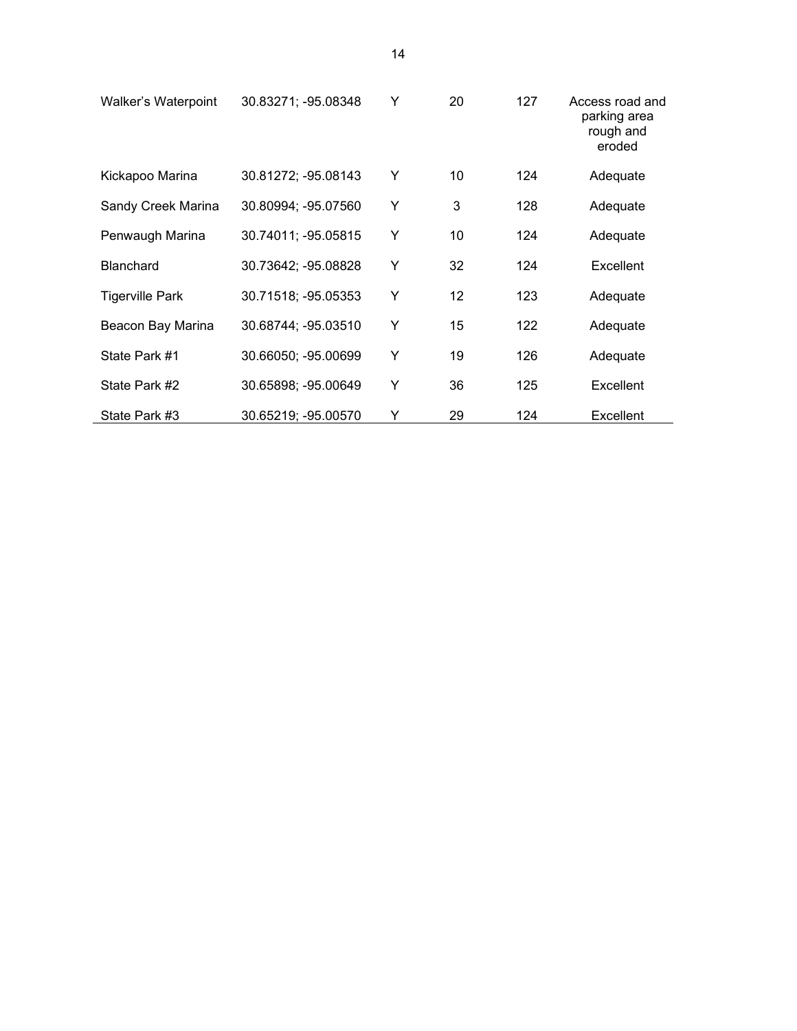| Walker's Waterpoint    | 30.83271; -95.08348 | Y | 20 | 127 | Access road and<br>parking area<br>rough and<br>eroded |
|------------------------|---------------------|---|----|-----|--------------------------------------------------------|
| Kickapoo Marina        | 30.81272; -95.08143 | Y | 10 | 124 | Adequate                                               |
| Sandy Creek Marina     | 30.80994; -95.07560 | Y | 3  | 128 | Adequate                                               |
| Penwaugh Marina        | 30.74011; -95.05815 | Y | 10 | 124 | Adequate                                               |
| <b>Blanchard</b>       | 30.73642; -95.08828 | Y | 32 | 124 | Excellent                                              |
| <b>Tigerville Park</b> | 30.71518; -95.05353 | Υ | 12 | 123 | Adequate                                               |
| Beacon Bay Marina      | 30.68744; -95.03510 | Υ | 15 | 122 | Adequate                                               |
| State Park #1          | 30.66050; -95.00699 | Y | 19 | 126 | Adequate                                               |
| State Park #2          | 30.65898; -95.00649 | Υ | 36 | 125 | Excellent                                              |
| State Park #3          | 30.65219; -95.00570 | Υ | 29 | 124 | <b>Excellent</b>                                       |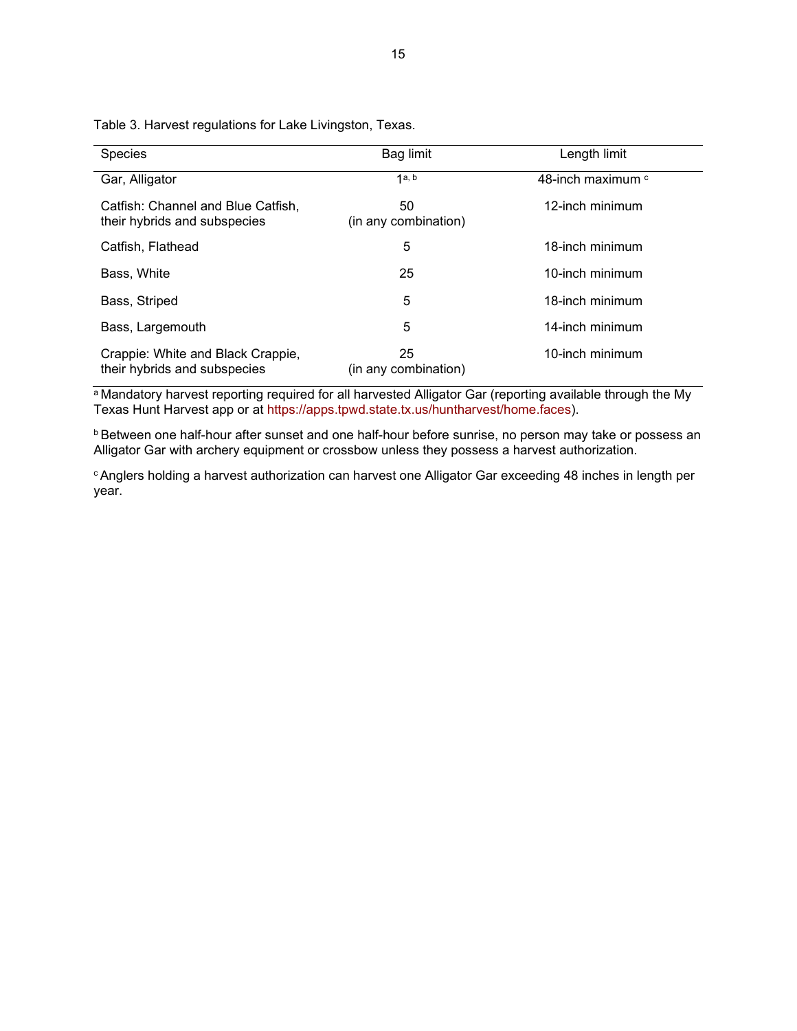| <b>Species</b>                                                     | Bag limit                  | Length limit                 |
|--------------------------------------------------------------------|----------------------------|------------------------------|
| Gar, Alligator                                                     | 1a, b                      | 48-inch maximum <sup>c</sup> |
| Catfish: Channel and Blue Catfish,<br>their hybrids and subspecies | 50<br>(in any combination) | 12-inch minimum              |
| Catfish, Flathead                                                  | 5                          | 18-inch minimum              |
| Bass, White                                                        | 25                         | 10-inch minimum              |
| Bass, Striped                                                      | 5                          | 18-inch minimum              |
| Bass, Largemouth                                                   | 5                          | 14-inch minimum              |
| Crappie: White and Black Crappie,<br>their hybrids and subspecies  | 25<br>(in any combination) | 10-inch minimum              |

<span id="page-16-0"></span>Table 3. Harvest regulations for Lake Livingston, Texas.

a Mandatory harvest reporting required for all harvested Alligator Gar (reporting available through the My Texas Hunt Harvest app or at [https://apps.tpwd.state.tx.us/huntharvest/home.faces\)](https://apps.tpwd.state.tx.us/huntharvest/home.faces).

<sup>b</sup> Between one half-hour after sunset and one half-hour before sunrise, no person may take or possess an Alligator Gar with archery equipment or crossbow unless they possess a harvest authorization.

c Anglers holding a harvest authorization can harvest one Alligator Gar exceeding 48 inches in length per year.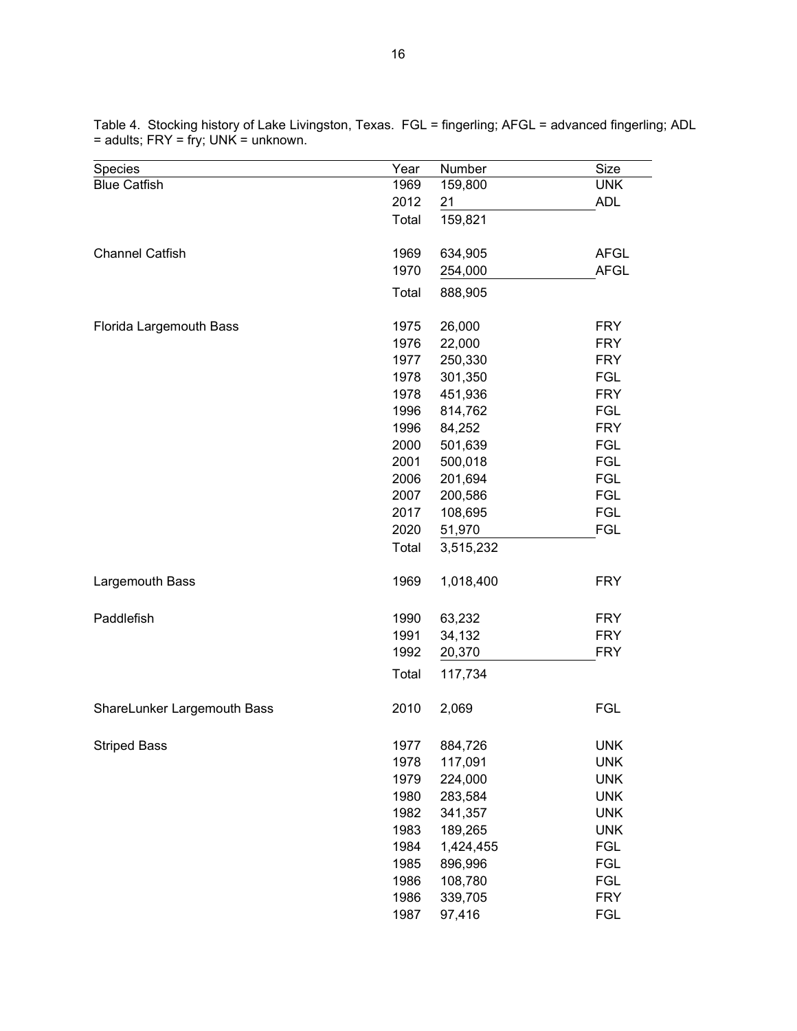| <b>UNK</b><br>1969<br>159,800<br>2012<br><b>ADL</b><br>21<br>159,821<br>Total<br>1969<br>634,905<br><b>AFGL</b><br>1970<br><b>AFGL</b><br>254,000<br>Total<br>888,905<br>26,000<br>Florida Largemouth Bass<br>1975<br><b>FRY</b><br>1976<br>22,000<br><b>FRY</b><br>1977<br>250,330<br><b>FRY</b><br>301,350<br><b>FGL</b><br>1978<br>1978<br>451,936<br><b>FRY</b><br>1996<br>814,762<br><b>FGL</b><br><b>FRY</b><br>1996<br>84,252<br>2000<br>501,639<br><b>FGL</b><br><b>FGL</b><br>2001<br>500,018<br><b>FGL</b><br>2006<br>201,694<br><b>FGL</b><br>2007<br>200,586<br><b>FGL</b><br>2017<br>108,695<br>2020<br><b>FGL</b><br>51,970<br>Total<br>3,515,232<br>1969<br>1,018,400<br><b>FRY</b><br>1990<br>63,232<br><b>FRY</b><br>1991<br><b>FRY</b><br>34,132<br><b>FRY</b><br>1992<br>20,370<br>Total<br>117,734<br>2010<br>2,069<br><b>FGL</b><br><b>UNK</b><br><b>Striped Bass</b><br>1977<br>884,726<br>1978<br>117,091<br><b>UNK</b><br>1979<br>224,000<br><b>UNK</b><br>1980<br>283,584<br><b>UNK</b><br>1982<br>341,357<br><b>UNK</b><br>1983<br>189,265<br><b>UNK</b><br>1984<br>1,424,455<br>FGL<br><b>FGL</b><br>1985<br>896,996<br>1986<br>108,780<br><b>FGL</b><br>1986<br>339,705<br><b>FRY</b> | <b>Species</b>              | Year | Number | Size       |
|-------------------------------------------------------------------------------------------------------------------------------------------------------------------------------------------------------------------------------------------------------------------------------------------------------------------------------------------------------------------------------------------------------------------------------------------------------------------------------------------------------------------------------------------------------------------------------------------------------------------------------------------------------------------------------------------------------------------------------------------------------------------------------------------------------------------------------------------------------------------------------------------------------------------------------------------------------------------------------------------------------------------------------------------------------------------------------------------------------------------------------------------------------------------------------------------------------------------|-----------------------------|------|--------|------------|
|                                                                                                                                                                                                                                                                                                                                                                                                                                                                                                                                                                                                                                                                                                                                                                                                                                                                                                                                                                                                                                                                                                                                                                                                                   | <b>Blue Catfish</b>         |      |        |            |
|                                                                                                                                                                                                                                                                                                                                                                                                                                                                                                                                                                                                                                                                                                                                                                                                                                                                                                                                                                                                                                                                                                                                                                                                                   |                             |      |        |            |
|                                                                                                                                                                                                                                                                                                                                                                                                                                                                                                                                                                                                                                                                                                                                                                                                                                                                                                                                                                                                                                                                                                                                                                                                                   |                             |      |        |            |
|                                                                                                                                                                                                                                                                                                                                                                                                                                                                                                                                                                                                                                                                                                                                                                                                                                                                                                                                                                                                                                                                                                                                                                                                                   | <b>Channel Catfish</b>      |      |        |            |
|                                                                                                                                                                                                                                                                                                                                                                                                                                                                                                                                                                                                                                                                                                                                                                                                                                                                                                                                                                                                                                                                                                                                                                                                                   |                             |      |        |            |
|                                                                                                                                                                                                                                                                                                                                                                                                                                                                                                                                                                                                                                                                                                                                                                                                                                                                                                                                                                                                                                                                                                                                                                                                                   |                             |      |        |            |
|                                                                                                                                                                                                                                                                                                                                                                                                                                                                                                                                                                                                                                                                                                                                                                                                                                                                                                                                                                                                                                                                                                                                                                                                                   |                             |      |        |            |
|                                                                                                                                                                                                                                                                                                                                                                                                                                                                                                                                                                                                                                                                                                                                                                                                                                                                                                                                                                                                                                                                                                                                                                                                                   |                             |      |        |            |
|                                                                                                                                                                                                                                                                                                                                                                                                                                                                                                                                                                                                                                                                                                                                                                                                                                                                                                                                                                                                                                                                                                                                                                                                                   |                             |      |        |            |
|                                                                                                                                                                                                                                                                                                                                                                                                                                                                                                                                                                                                                                                                                                                                                                                                                                                                                                                                                                                                                                                                                                                                                                                                                   |                             |      |        |            |
|                                                                                                                                                                                                                                                                                                                                                                                                                                                                                                                                                                                                                                                                                                                                                                                                                                                                                                                                                                                                                                                                                                                                                                                                                   |                             |      |        |            |
|                                                                                                                                                                                                                                                                                                                                                                                                                                                                                                                                                                                                                                                                                                                                                                                                                                                                                                                                                                                                                                                                                                                                                                                                                   |                             |      |        |            |
|                                                                                                                                                                                                                                                                                                                                                                                                                                                                                                                                                                                                                                                                                                                                                                                                                                                                                                                                                                                                                                                                                                                                                                                                                   |                             |      |        |            |
|                                                                                                                                                                                                                                                                                                                                                                                                                                                                                                                                                                                                                                                                                                                                                                                                                                                                                                                                                                                                                                                                                                                                                                                                                   |                             |      |        |            |
|                                                                                                                                                                                                                                                                                                                                                                                                                                                                                                                                                                                                                                                                                                                                                                                                                                                                                                                                                                                                                                                                                                                                                                                                                   |                             |      |        |            |
|                                                                                                                                                                                                                                                                                                                                                                                                                                                                                                                                                                                                                                                                                                                                                                                                                                                                                                                                                                                                                                                                                                                                                                                                                   |                             |      |        |            |
|                                                                                                                                                                                                                                                                                                                                                                                                                                                                                                                                                                                                                                                                                                                                                                                                                                                                                                                                                                                                                                                                                                                                                                                                                   |                             |      |        |            |
|                                                                                                                                                                                                                                                                                                                                                                                                                                                                                                                                                                                                                                                                                                                                                                                                                                                                                                                                                                                                                                                                                                                                                                                                                   |                             |      |        |            |
|                                                                                                                                                                                                                                                                                                                                                                                                                                                                                                                                                                                                                                                                                                                                                                                                                                                                                                                                                                                                                                                                                                                                                                                                                   |                             |      |        |            |
|                                                                                                                                                                                                                                                                                                                                                                                                                                                                                                                                                                                                                                                                                                                                                                                                                                                                                                                                                                                                                                                                                                                                                                                                                   |                             |      |        |            |
|                                                                                                                                                                                                                                                                                                                                                                                                                                                                                                                                                                                                                                                                                                                                                                                                                                                                                                                                                                                                                                                                                                                                                                                                                   | Largemouth Bass             |      |        |            |
|                                                                                                                                                                                                                                                                                                                                                                                                                                                                                                                                                                                                                                                                                                                                                                                                                                                                                                                                                                                                                                                                                                                                                                                                                   | Paddlefish                  |      |        |            |
|                                                                                                                                                                                                                                                                                                                                                                                                                                                                                                                                                                                                                                                                                                                                                                                                                                                                                                                                                                                                                                                                                                                                                                                                                   |                             |      |        |            |
|                                                                                                                                                                                                                                                                                                                                                                                                                                                                                                                                                                                                                                                                                                                                                                                                                                                                                                                                                                                                                                                                                                                                                                                                                   |                             |      |        |            |
|                                                                                                                                                                                                                                                                                                                                                                                                                                                                                                                                                                                                                                                                                                                                                                                                                                                                                                                                                                                                                                                                                                                                                                                                                   |                             |      |        |            |
|                                                                                                                                                                                                                                                                                                                                                                                                                                                                                                                                                                                                                                                                                                                                                                                                                                                                                                                                                                                                                                                                                                                                                                                                                   | ShareLunker Largemouth Bass |      |        |            |
|                                                                                                                                                                                                                                                                                                                                                                                                                                                                                                                                                                                                                                                                                                                                                                                                                                                                                                                                                                                                                                                                                                                                                                                                                   |                             |      |        |            |
|                                                                                                                                                                                                                                                                                                                                                                                                                                                                                                                                                                                                                                                                                                                                                                                                                                                                                                                                                                                                                                                                                                                                                                                                                   |                             |      |        |            |
|                                                                                                                                                                                                                                                                                                                                                                                                                                                                                                                                                                                                                                                                                                                                                                                                                                                                                                                                                                                                                                                                                                                                                                                                                   |                             |      |        |            |
|                                                                                                                                                                                                                                                                                                                                                                                                                                                                                                                                                                                                                                                                                                                                                                                                                                                                                                                                                                                                                                                                                                                                                                                                                   |                             |      |        |            |
|                                                                                                                                                                                                                                                                                                                                                                                                                                                                                                                                                                                                                                                                                                                                                                                                                                                                                                                                                                                                                                                                                                                                                                                                                   |                             |      |        |            |
|                                                                                                                                                                                                                                                                                                                                                                                                                                                                                                                                                                                                                                                                                                                                                                                                                                                                                                                                                                                                                                                                                                                                                                                                                   |                             |      |        |            |
|                                                                                                                                                                                                                                                                                                                                                                                                                                                                                                                                                                                                                                                                                                                                                                                                                                                                                                                                                                                                                                                                                                                                                                                                                   |                             |      |        |            |
|                                                                                                                                                                                                                                                                                                                                                                                                                                                                                                                                                                                                                                                                                                                                                                                                                                                                                                                                                                                                                                                                                                                                                                                                                   |                             |      |        |            |
|                                                                                                                                                                                                                                                                                                                                                                                                                                                                                                                                                                                                                                                                                                                                                                                                                                                                                                                                                                                                                                                                                                                                                                                                                   |                             |      |        |            |
|                                                                                                                                                                                                                                                                                                                                                                                                                                                                                                                                                                                                                                                                                                                                                                                                                                                                                                                                                                                                                                                                                                                                                                                                                   |                             |      |        |            |
|                                                                                                                                                                                                                                                                                                                                                                                                                                                                                                                                                                                                                                                                                                                                                                                                                                                                                                                                                                                                                                                                                                                                                                                                                   |                             | 1987 | 97,416 | <b>FGL</b> |

<span id="page-17-0"></span>Table 4. Stocking history of Lake Livingston, Texas. FGL = fingerling; AFGL = advanced fingerling; ADL = adults; FRY = fry; UNK = unknown.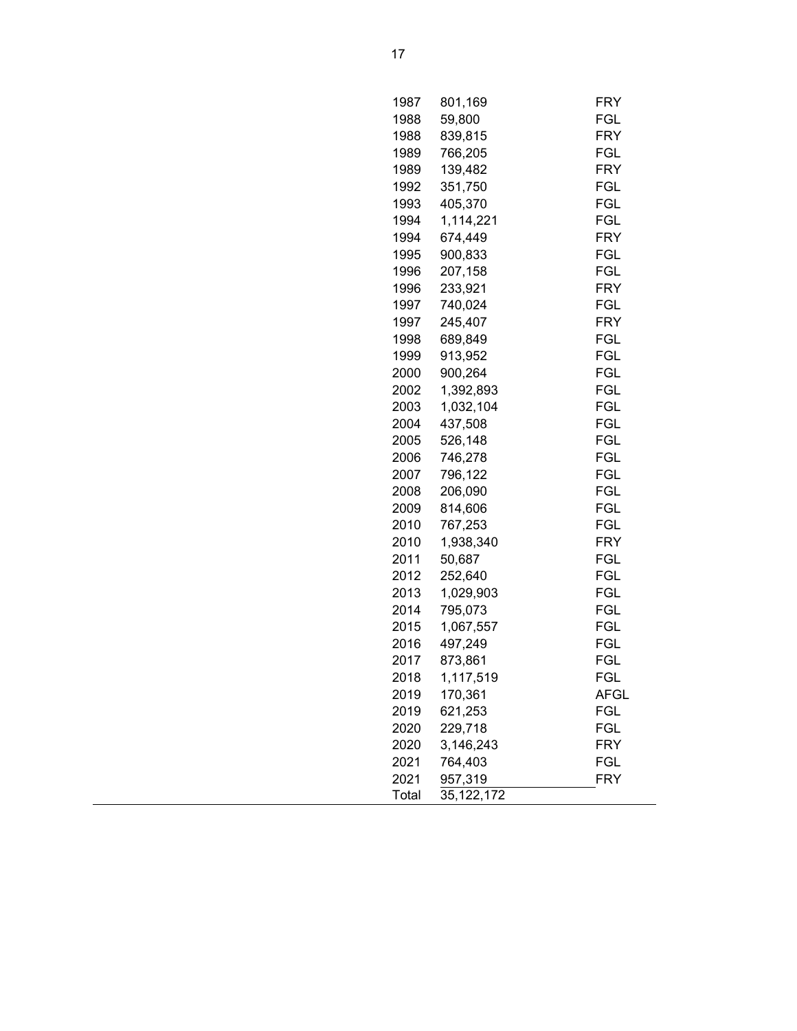| 1987  | 801,169    | FRY         |
|-------|------------|-------------|
| 1988  | 59,800     | FGL         |
| 1988  | 839,815    | FRY         |
| 1989  | 766,205    | FGL         |
| 1989  | 139,482    | FRY         |
| 1992  | 351,750    | <b>FGL</b>  |
| 1993  | 405,370    | FGL         |
| 1994  | 1,114,221  | FGL         |
| 1994  | 674,449    | <b>FRY</b>  |
| 1995  | 900,833    | FGL         |
| 1996  | 207,158    | FGL         |
| 1996  | 233,921    | FRY         |
| 1997  | 740,024    | FGL         |
| 1997  | 245,407    | FRY         |
| 1998  | 689,849    | FGL         |
| 1999  | 913,952    | FGL         |
| 2000  | 900,264    | <b>FGL</b>  |
| 2002  | 1,392,893  | <b>FGL</b>  |
| 2003  | 1,032,104  | <b>FGL</b>  |
| 2004  | 437,508    | FGL         |
| 2005  | 526,148    | <b>FGL</b>  |
| 2006  | 746,278    | <b>FGL</b>  |
| 2007  | 796,122    | <b>FGL</b>  |
| 2008  | 206,090    | <b>FGL</b>  |
| 2009  | 814,606    | FGL         |
| 2010  | 767,253    | FGL         |
| 2010  | 1,938,340  | FRY         |
| 2011  | 50,687     | FGL         |
| 2012  | 252,640    | <b>FGL</b>  |
| 2013  | 1,029,903  | <b>FGL</b>  |
| 2014  | 795,073    | FGL         |
| 2015  | 1,067,557  | <b>FGL</b>  |
| 2016  | 497,249    | FGL         |
| 2017  | 873,861    | FGL         |
| 2018  | 1,117,519  | FGL         |
| 2019  | 170,361    | <b>AFGL</b> |
| 2019  | 621,253    | FGL         |
| 2020  | 229,718    | FGL         |
| 2020  | 3,146,243  | FRY         |
| 2021  | 764,403    | FGL         |
| 2021  | 957,319    | FRY         |
| Total | 35,122,172 |             |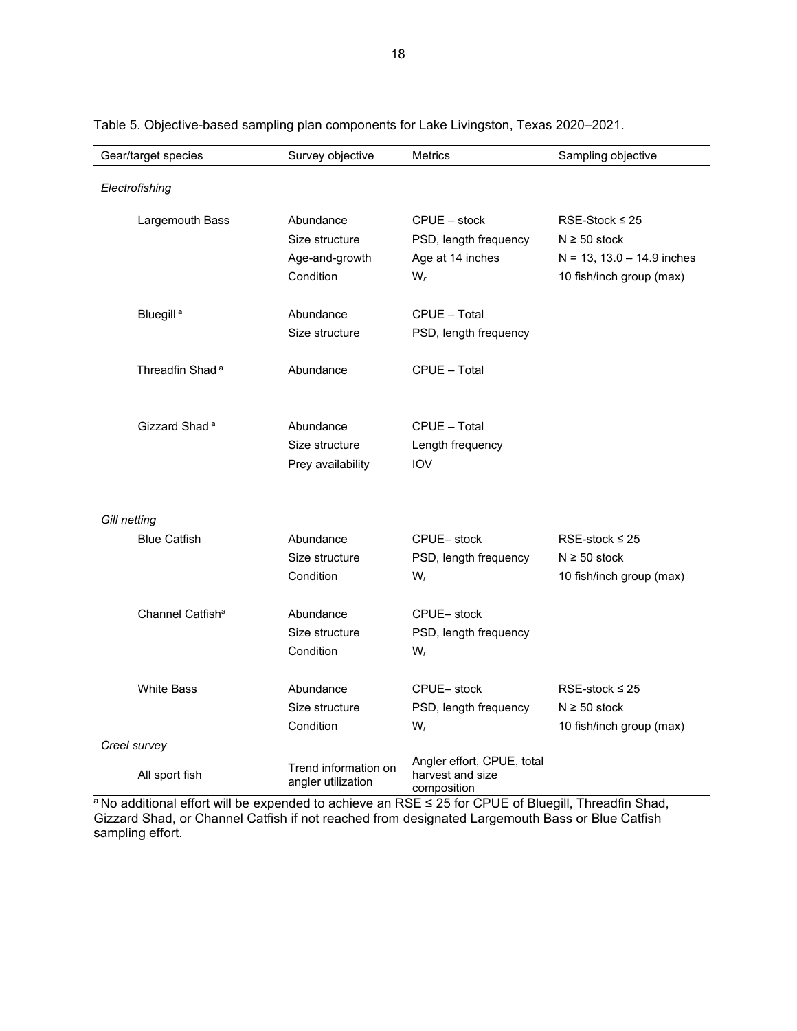| Gear/target species          | Survey objective                           | <b>Metrics</b>                                                | Sampling objective            |
|------------------------------|--------------------------------------------|---------------------------------------------------------------|-------------------------------|
| Electrofishing               |                                            |                                                               |                               |
|                              |                                            |                                                               |                               |
| Largemouth Bass              | Abundance                                  | $CPUE - stock$                                                | RSE-Stock $\leq$ 25           |
|                              | Size structure                             | PSD, length frequency                                         | $N \geq 50$ stock             |
|                              | Age-and-growth                             | Age at 14 inches                                              | $N = 13$ , 13.0 - 14.9 inches |
|                              | Condition                                  | $W_r$                                                         | 10 fish/inch group (max)      |
| Bluegill <sup>a</sup>        | Abundance                                  | CPUE - Total                                                  |                               |
|                              | Size structure                             | PSD, length frequency                                         |                               |
| Threadfin Shad <sup>a</sup>  | Abundance                                  | CPUE - Total                                                  |                               |
|                              |                                            |                                                               |                               |
| Gizzard Shad <sup>a</sup>    | Abundance                                  | CPUE - Total                                                  |                               |
|                              | Size structure                             | Length frequency                                              |                               |
|                              | Prey availability                          | <b>IOV</b>                                                    |                               |
|                              |                                            |                                                               |                               |
| Gill netting                 |                                            |                                                               |                               |
| <b>Blue Catfish</b>          | Abundance                                  | CPUE-stock                                                    | RSE-stock $\leq 25$           |
|                              | Size structure                             | PSD, length frequency                                         | $N \ge 50$ stock              |
|                              | Condition                                  | $W_r$                                                         | 10 fish/inch group (max)      |
| Channel Catfish <sup>a</sup> | Abundance                                  | CPUE-stock                                                    |                               |
|                              | Size structure                             | PSD, length frequency                                         |                               |
|                              | Condition                                  | $W_r$                                                         |                               |
| <b>White Bass</b>            | Abundance                                  | CPUE-stock                                                    | RSE-stock $\leq$ 25           |
|                              | Size structure                             | PSD, length frequency                                         | $N \ge 50$ stock              |
|                              | Condition                                  | $W_r$                                                         | 10 fish/inch group (max)      |
| Creel survey                 |                                            |                                                               |                               |
| All sport fish               | Trend information on<br>angler utilization | Angler effort, CPUE, total<br>harvest and size<br>composition |                               |

<span id="page-19-0"></span>Table 5. Objective-based sampling plan components for Lake Livingston, Texas 2020–2021.

ª No additional effort will be expended to achieve an RSE ≤ 25 for CPUE of Bluegill, Threadfin Shad, Gizzard Shad, or Channel Catfish if not reached from designated Largemouth Bass or Blue Catfish sampling effort.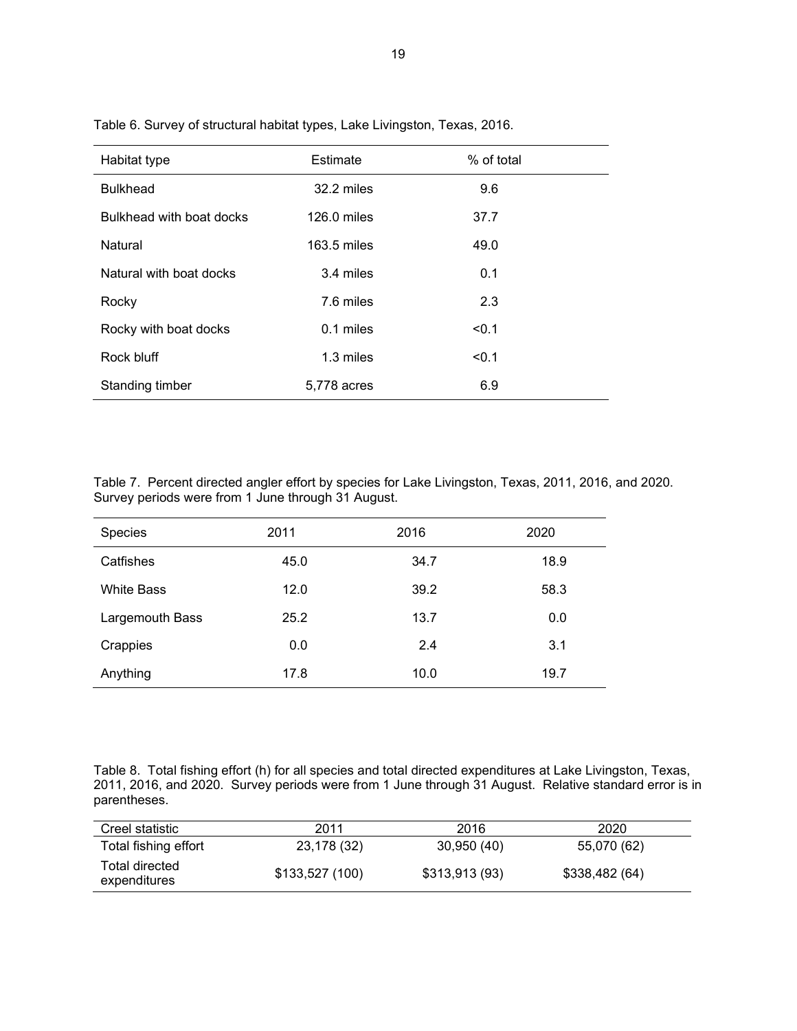| Habitat type             | Estimate    | % of total |
|--------------------------|-------------|------------|
| <b>Bulkhead</b>          | 32.2 miles  | 9.6        |
| Bulkhead with boat docks | 126.0 miles | 37.7       |
| Natural                  | 163.5 miles | 49.0       |
| Natural with boat docks  | 3.4 miles   | 0.1        |
| Rocky                    | 7.6 miles   | 2.3        |
| Rocky with boat docks    | 0.1 miles   | < 0.1      |
| Rock bluff               | 1.3 miles   | < 0.1      |
| Standing timber          | 5,778 acres | 6.9        |

<span id="page-20-0"></span>Table 6. Survey of structural habitat types, Lake Livingston, Texas, 2016.

Table 7. Percent directed angler effort by species for Lake Livingston, Texas, 2011, 2016, and 2020. Survey periods were from 1 June through 31 August.

| Species           | 2011 | 2016 | 2020 |
|-------------------|------|------|------|
| Catfishes         | 45.0 | 34.7 | 18.9 |
| <b>White Bass</b> | 12.0 | 39.2 | 58.3 |
| Largemouth Bass   | 25.2 | 13.7 | 0.0  |
| Crappies          | 0.0  | 2.4  | 3.1  |
| Anything          | 17.8 | 10.0 | 19.7 |

Table 8. Total fishing effort (h) for all species and total directed expenditures at Lake Livingston, Texas, 2011, 2016, and 2020. Survey periods were from 1 June through 31 August. Relative standard error is in parentheses.

| Creel statistic                | 2011           | 2016          | 2020           |
|--------------------------------|----------------|---------------|----------------|
| Total fishing effort           | 23,178 (32)    | 30,950 (40)   | 55,070 (62)    |
| Total directed<br>expenditures | \$133,527(100) | \$313,913(93) | \$338,482 (64) |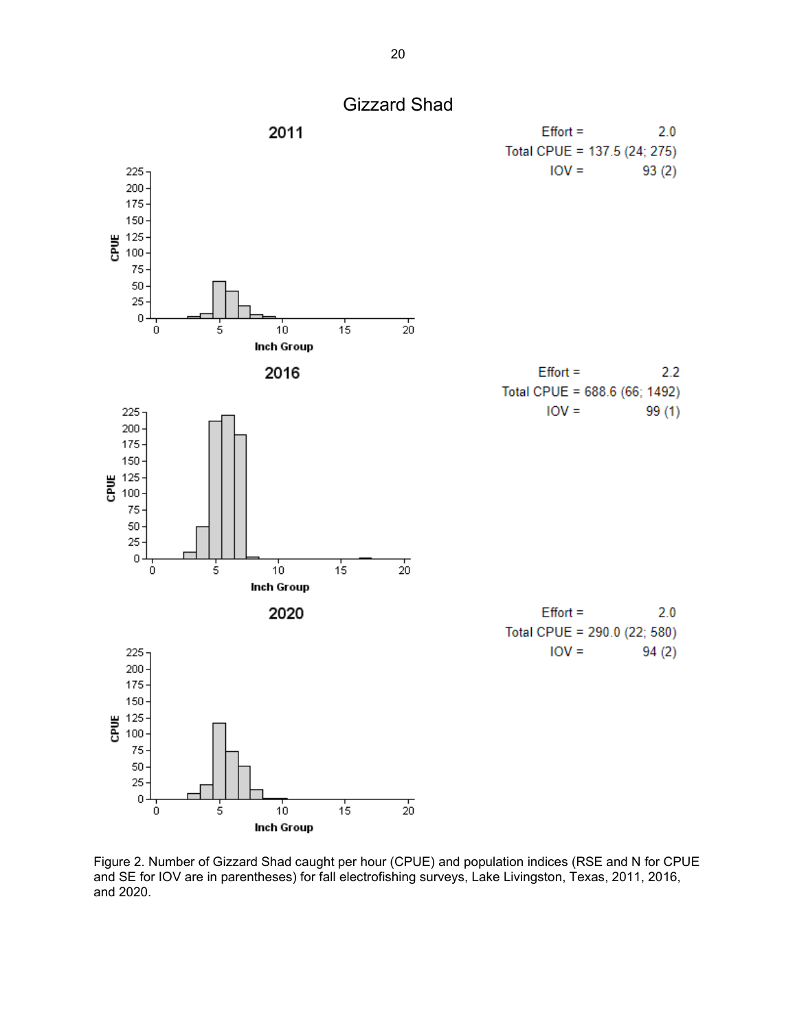<span id="page-21-0"></span>

Figure 2. Number of Gizzard Shad caught per hour (CPUE) and population indices (RSE and N for CPUE and SE for IOV are in parentheses) for fall electrofishing surveys, Lake Livingston, Texas, 2011, 2016, and 2020.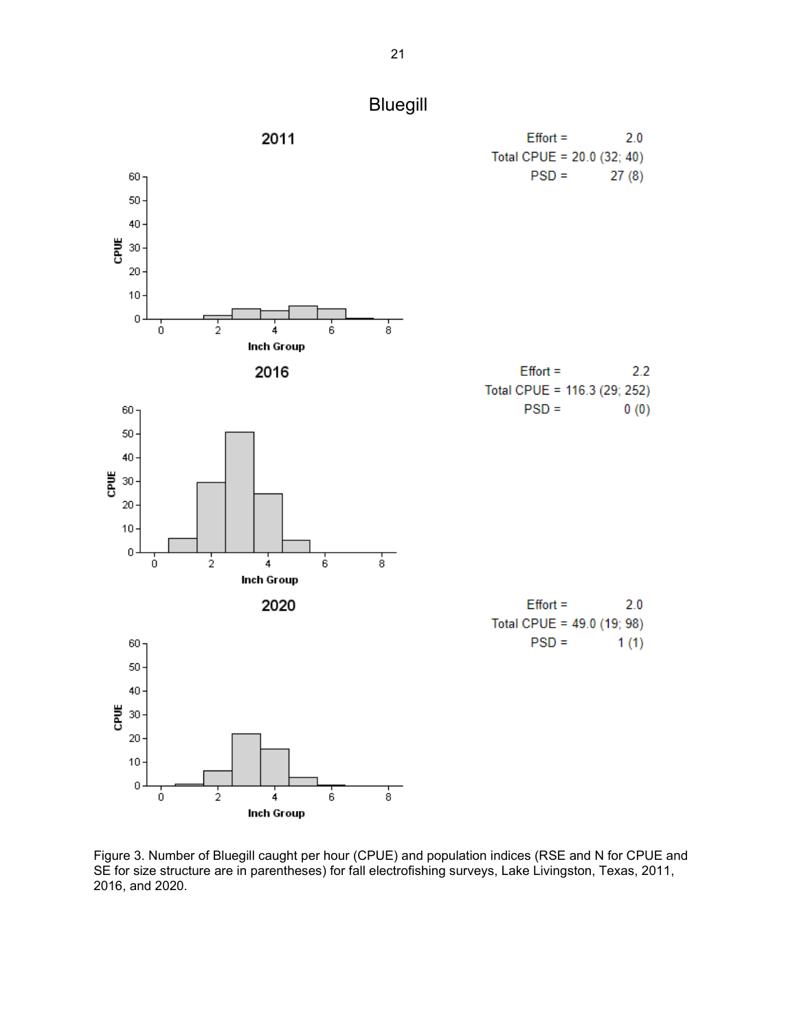<span id="page-22-0"></span>

Figure 3. Number of Bluegill caught per hour (CPUE) and population indices (RSE and N for CPUE and SE for size structure are in parentheses) for fall electrofishing surveys, Lake Livingston, Texas, 2011, 2016, and 2020.

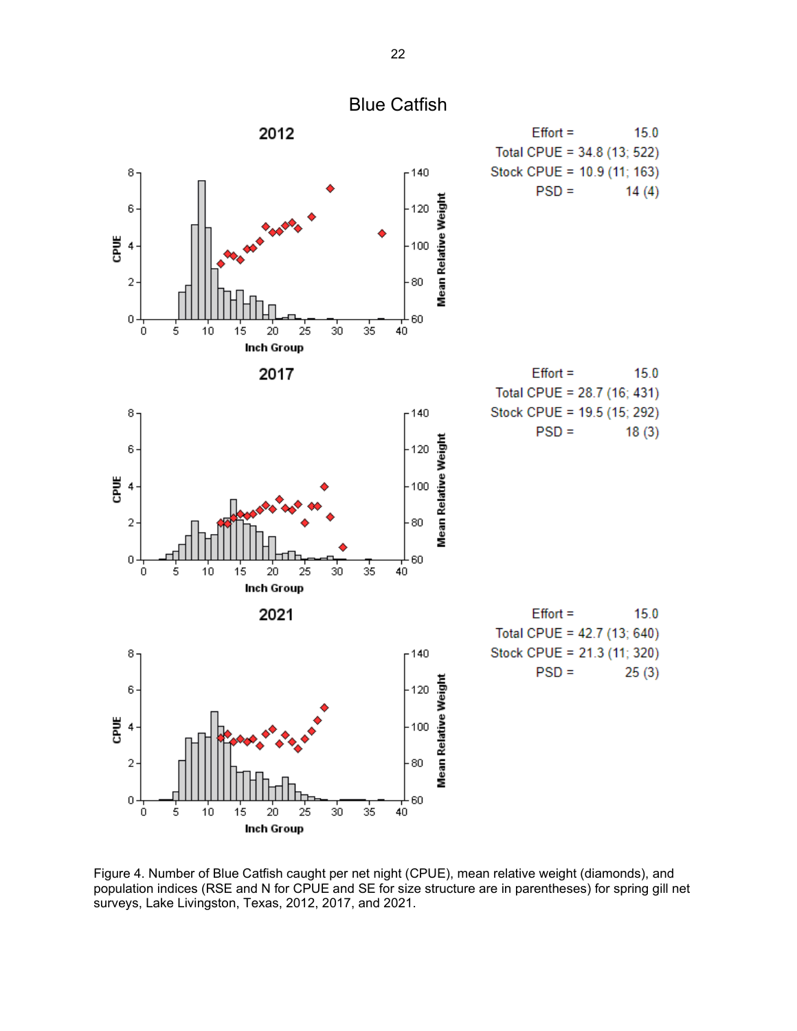<span id="page-23-0"></span>

Figure 4. Number of Blue Catfish caught per net night (CPUE), mean relative weight (diamonds), and population indices (RSE and N for CPUE and SE for size structure are in parentheses) for spring gill net surveys, Lake Livingston, Texas, 2012, 2017, and 2021.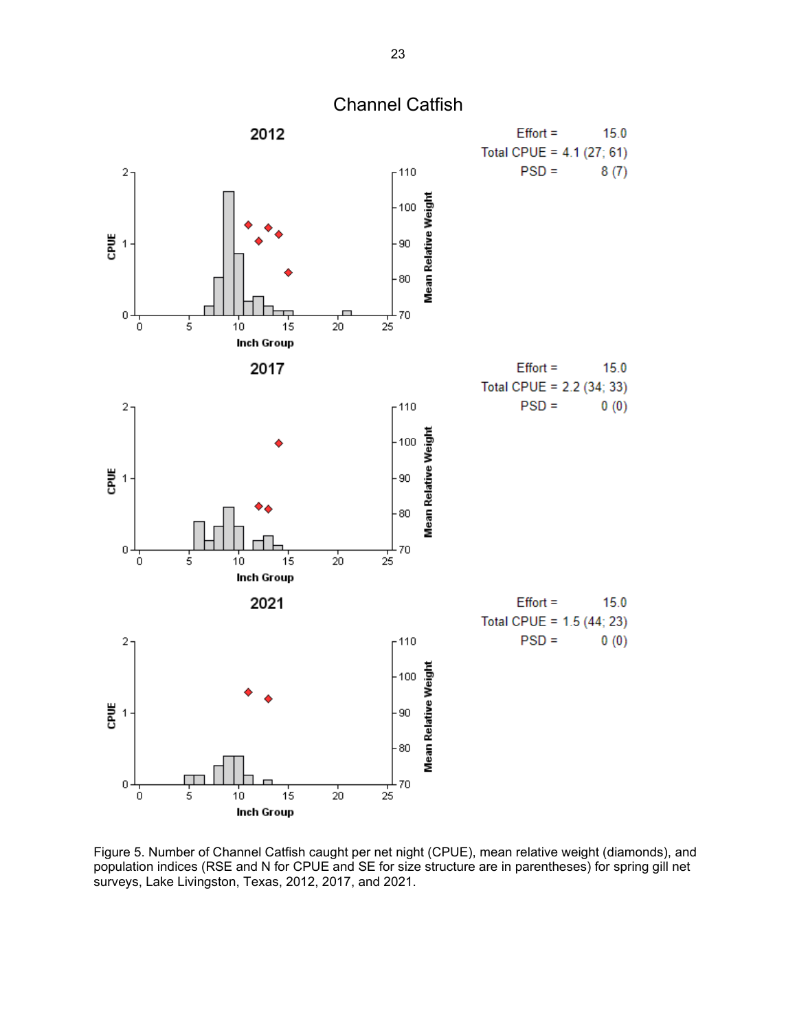<span id="page-24-0"></span>

Figure 5. Number of Channel Catfish caught per net night (CPUE), mean relative weight (diamonds), and population indices (RSE and N for CPUE and SE for size structure are in parentheses) for spring gill net surveys, Lake Livingston, Texas, 2012, 2017, and 2021.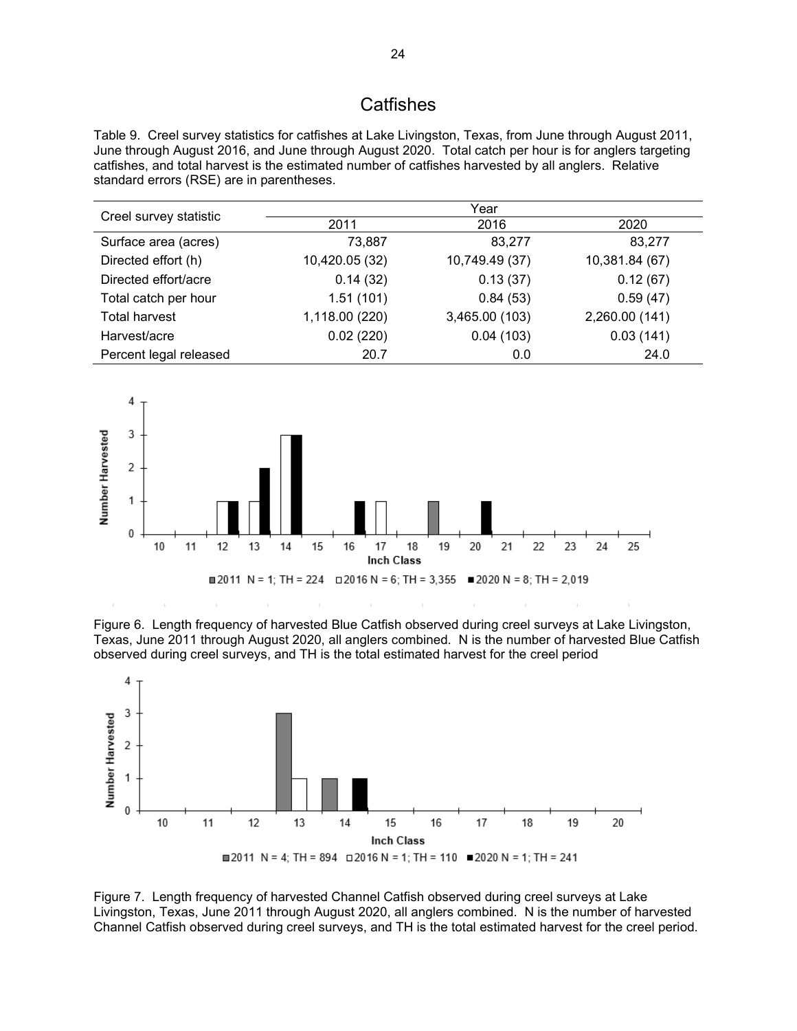### **Catfishes**

Table 9. Creel survey statistics for catfishes at Lake Livingston, Texas, from June through August 2011, June through August 2016, and June through August 2020. Total catch per hour is for anglers targeting catfishes, and total harvest is the estimated number of catfishes harvested by all anglers. Relative standard errors (RSE) are in parentheses.

|                        | Year           |                |                |
|------------------------|----------------|----------------|----------------|
| Creel survey statistic | 2011           | 2016           | 2020           |
| Surface area (acres)   | 73,887         | 83,277         | 83,277         |
| Directed effort (h)    | 10,420.05 (32) | 10,749.49 (37) | 10,381.84 (67) |
| Directed effort/acre   | 0.14(32)       | 0.13(37)       | 0.12(67)       |
| Total catch per hour   | 1.51(101)      | 0.84(53)       | 0.59(47)       |
| <b>Total harvest</b>   | 1,118.00 (220) | 3,465.00 (103) | 2,260.00 (141) |
| Harvest/acre           | 0.02(220)      | 0.04(103)      | 0.03(141)      |
| Percent legal released | 20.7           | 0.0            | 24.0           |



Figure 6. Length frequency of harvested Blue Catfish observed during creel surveys at Lake Livingston, Texas, June 2011 through August 2020, all anglers combined. N is the number of harvested Blue Catfish observed during creel surveys, and TH is the total estimated harvest for the creel period



Figure 7. Length frequency of harvested Channel Catfish observed during creel surveys at Lake Livingston, Texas, June 2011 through August 2020, all anglers combined. N is the number of harvested Channel Catfish observed during creel surveys, and TH is the total estimated harvest for the creel period.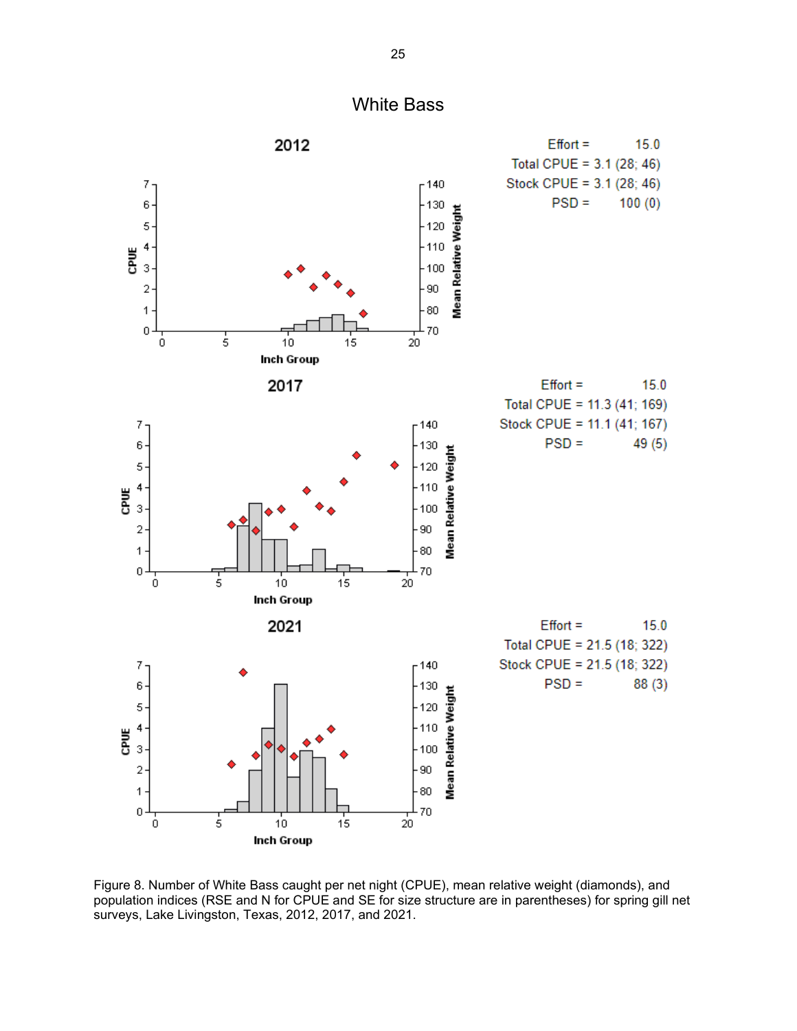<span id="page-26-0"></span>

Figure 8. Number of White Bass caught per net night (CPUE), mean relative weight (diamonds), and population indices (RSE and N for CPUE and SE for size structure are in parentheses) for spring gill net surveys, Lake Livingston, Texas, 2012, 2017, and 2021.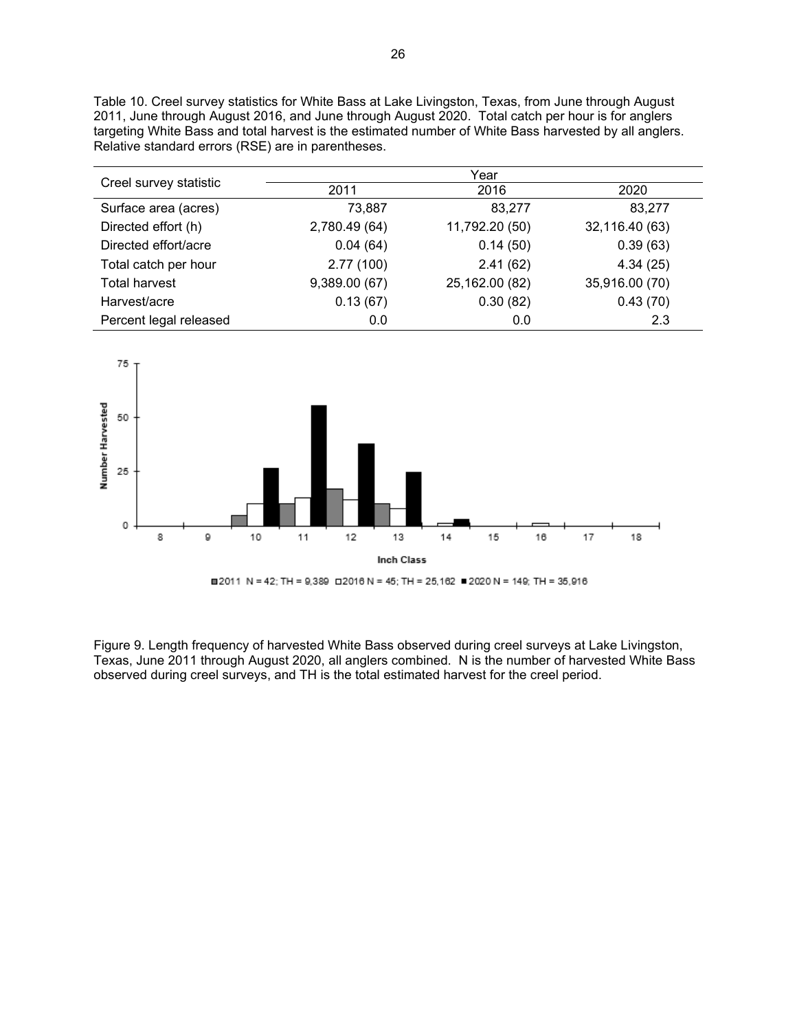Table 10. Creel survey statistics for White Bass at Lake Livingston, Texas, from June through August 2011, June through August 2016, and June through August 2020. Total catch per hour is for anglers targeting White Bass and total harvest is the estimated number of White Bass harvested by all anglers. Relative standard errors (RSE) are in parentheses.

|                        |               | Year           |                |
|------------------------|---------------|----------------|----------------|
| Creel survey statistic | 2011          | 2016           | 2020           |
| Surface area (acres)   | 73,887        | 83,277         | 83,277         |
| Directed effort (h)    | 2,780.49 (64) | 11,792.20 (50) | 32,116.40 (63) |
| Directed effort/acre   | 0.04(64)      | 0.14(50)       | 0.39(63)       |
| Total catch per hour   | 2.77(100)     | 2.41(62)       | 4.34(25)       |
| <b>Total harvest</b>   | 9,389.00 (67) | 25,162.00 (82) | 35,916.00 (70) |
| Harvest/acre           | 0.13(67)      | 0.30(82)       | 0.43(70)       |
| Percent legal released | 0.0           | 0.0            | 2.3            |



Figure 9. Length frequency of harvested White Bass observed during creel surveys at Lake Livingston, Texas, June 2011 through August 2020, all anglers combined. N is the number of harvested White Bass observed during creel surveys, and TH is the total estimated harvest for the creel period.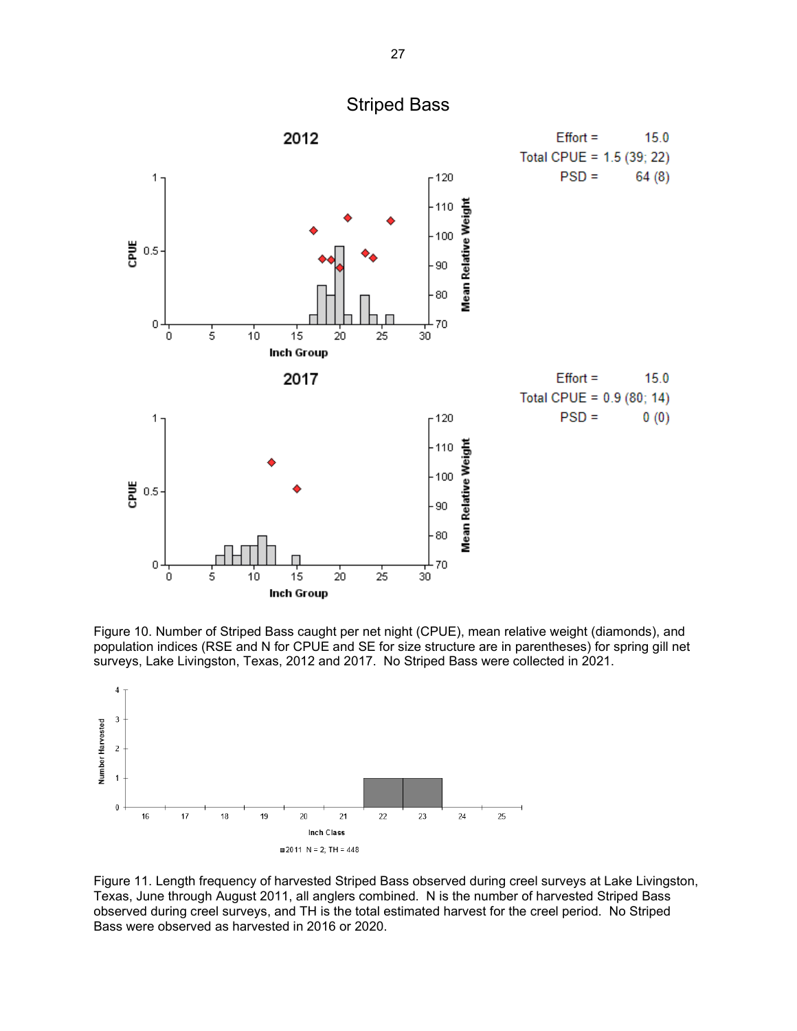<span id="page-28-0"></span>

Figure 10. Number of Striped Bass caught per net night (CPUE), mean relative weight (diamonds), and population indices (RSE and N for CPUE and SE for size structure are in parentheses) for spring gill net surveys, Lake Livingston, Texas, 2012 and 2017. No Striped Bass were collected in 2021.



Figure 11. Length frequency of harvested Striped Bass observed during creel surveys at Lake Livingston, Texas, June through August 2011, all anglers combined. N is the number of harvested Striped Bass observed during creel surveys, and TH is the total estimated harvest for the creel period. No Striped Bass were observed as harvested in 2016 or 2020.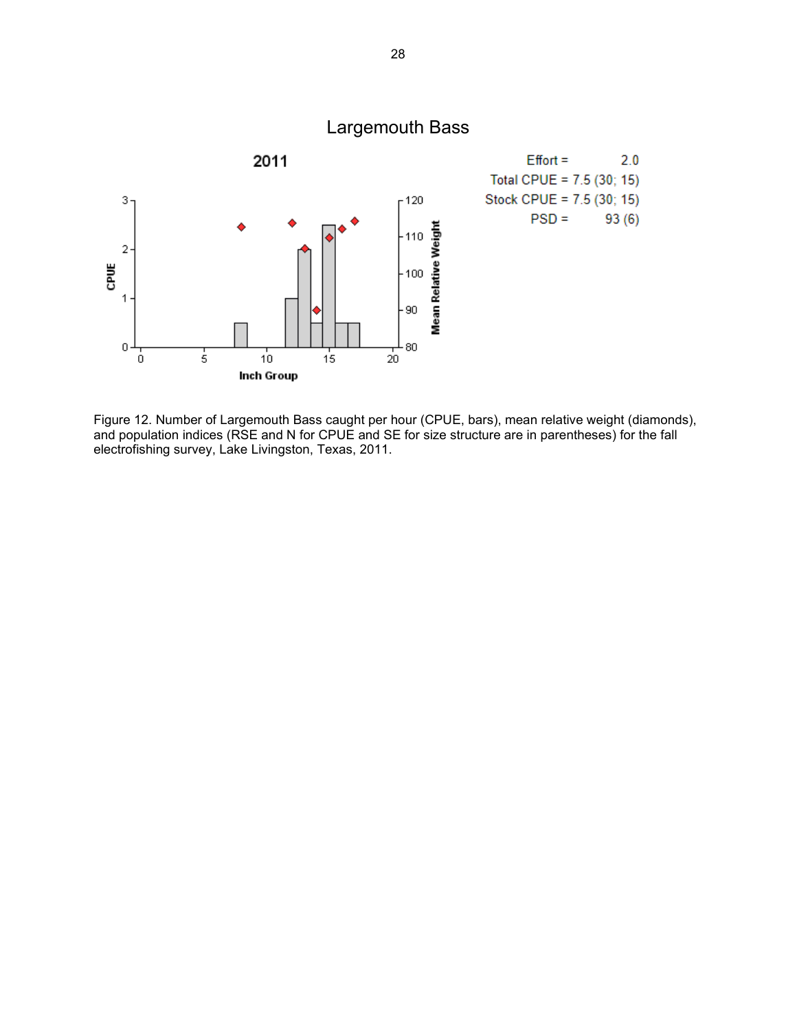<span id="page-29-0"></span>

Figure 12. Number of Largemouth Bass caught per hour (CPUE, bars), mean relative weight (diamonds), and population indices (RSE and N for CPUE and SE for size structure are in parentheses) for the fall electrofishing survey, Lake Livingston, Texas, 2011.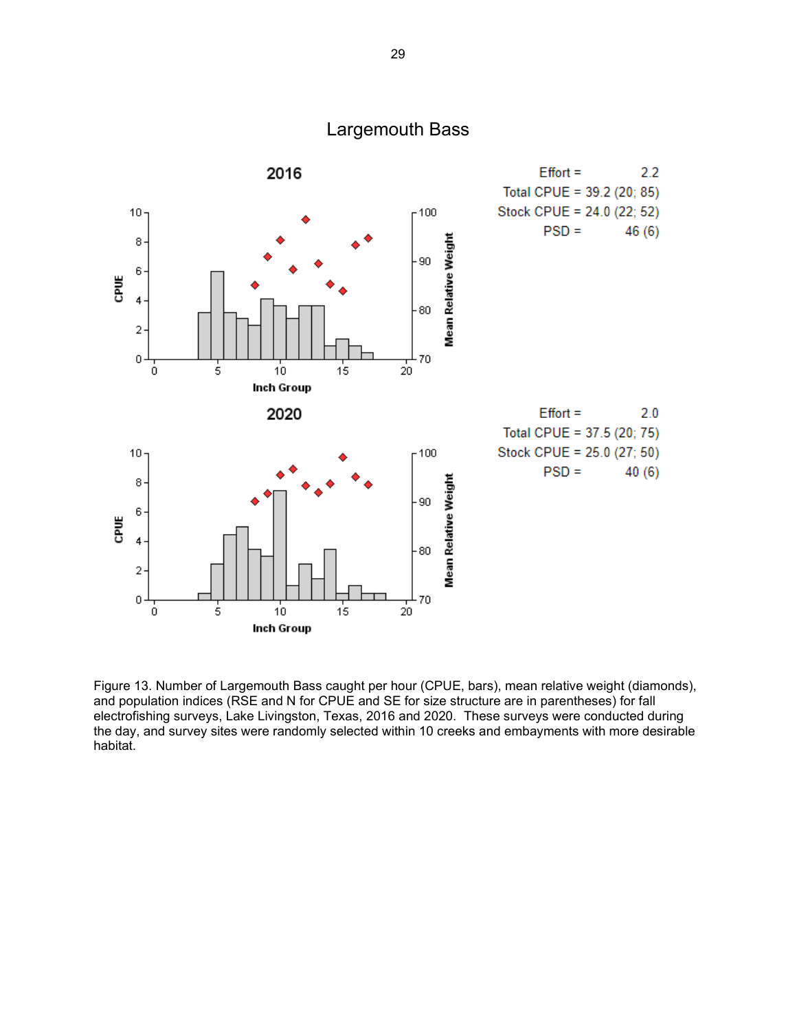

Figure 13. Number of Largemouth Bass caught per hour (CPUE, bars), mean relative weight (diamonds), and population indices (RSE and N for CPUE and SE for size structure are in parentheses) for fall electrofishing surveys, Lake Livingston, Texas, 2016 and 2020. These surveys were conducted during the day, and survey sites were randomly selected within 10 creeks and embayments with more desirable habitat.

Largemouth Bass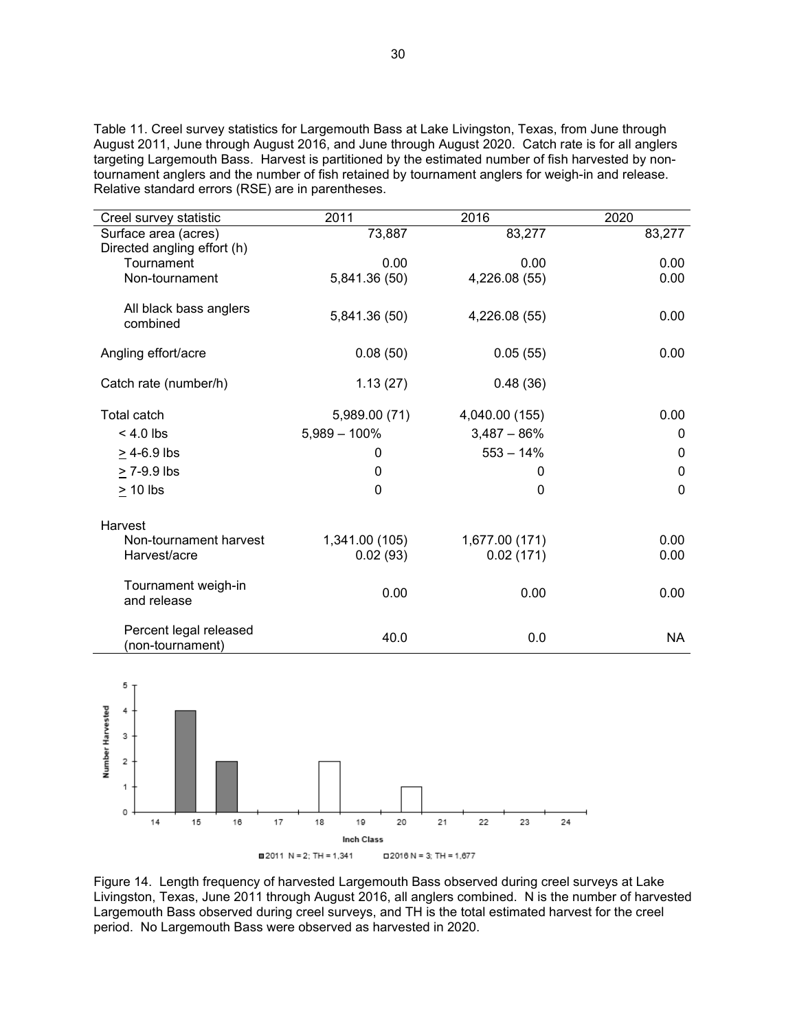Table 11. Creel survey statistics for Largemouth Bass at Lake Livingston, Texas, from June through August 2011, June through August 2016, and June through August 2020. Catch rate is for all anglers targeting Largemouth Bass. Harvest is partitioned by the estimated number of fish harvested by nontournament anglers and the number of fish retained by tournament anglers for weigh-in and release. Relative standard errors (RSE) are in parentheses.

| Creel survey statistic      | 2011            | 2016           | 2020         |
|-----------------------------|-----------------|----------------|--------------|
| Surface area (acres)        | 73,887          | 83,277         | 83,277       |
| Directed angling effort (h) |                 |                |              |
| Tournament                  | 0.00            | 0.00           | 0.00         |
| Non-tournament              | 5,841.36 (50)   | 4,226.08 (55)  | 0.00         |
|                             |                 |                |              |
| All black bass anglers      | 5,841.36 (50)   | 4,226.08 (55)  | 0.00         |
| combined                    |                 |                |              |
| Angling effort/acre         | 0.08(50)        | 0.05(55)       | 0.00         |
|                             |                 |                |              |
| Catch rate (number/h)       | 1.13(27)        | 0.48(36)       |              |
|                             |                 |                |              |
| <b>Total catch</b>          | 5,989.00 (71)   | 4,040.00 (155) | 0.00         |
| $< 4.0$ lbs                 | $5,989 - 100\%$ | $3,487 - 86%$  | $\mathbf{0}$ |
| $\geq$ 4-6.9 lbs            | 0               | $553 - 14%$    | $\mathbf{0}$ |
| > 7-9.9 lbs                 | 0               | 0              | $\mathbf 0$  |
| $> 10$ lbs                  | $\mathbf{0}$    | 0              | $\mathbf 0$  |
|                             |                 |                |              |
| Harvest                     |                 |                |              |
| Non-tournament harvest      | 1,341.00 (105)  | 1,677.00 (171) | 0.00         |
| Harvest/acre                | 0.02(93)        | 0.02(171)      | 0.00         |
|                             |                 |                |              |
| Tournament weigh-in         |                 |                |              |
| and release                 | 0.00            | 0.00           | 0.00         |
|                             |                 |                |              |
| Percent legal released      | 40.0            | 0.0            | <b>NA</b>    |
| (non-tournament)            |                 |                |              |



Figure 14. Length frequency of harvested Largemouth Bass observed during creel surveys at Lake Livingston, Texas, June 2011 through August 2016, all anglers combined. N is the number of harvested Largemouth Bass observed during creel surveys, and TH is the total estimated harvest for the creel period. No Largemouth Bass were observed as harvested in 2020.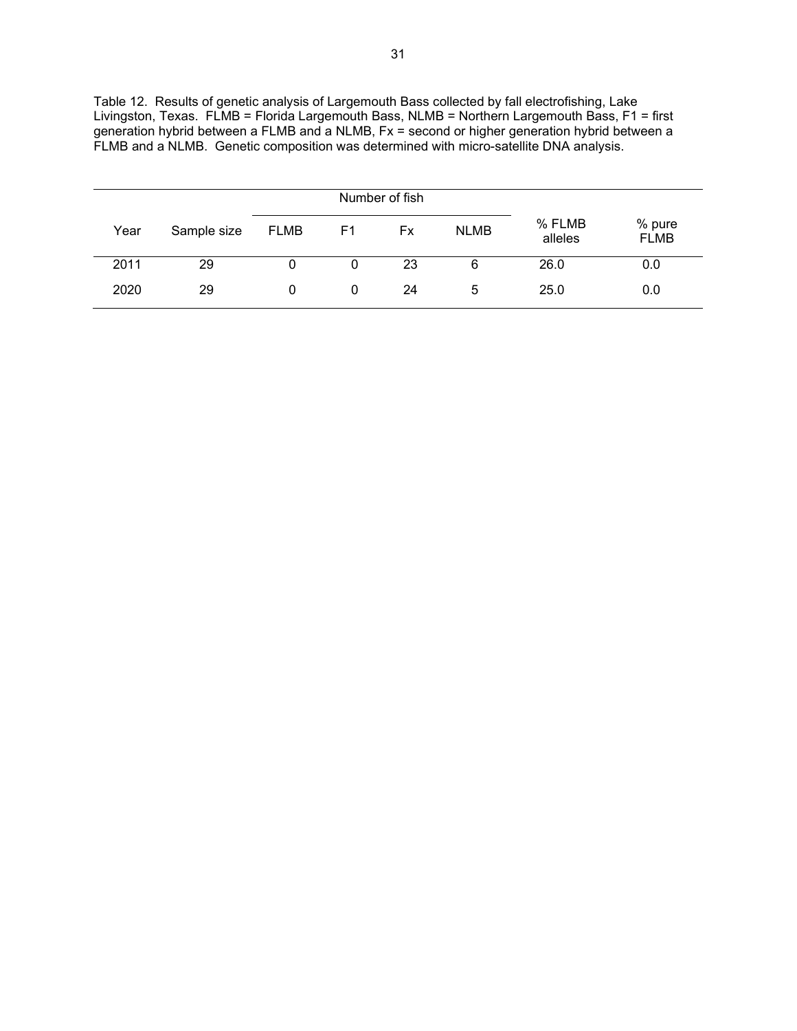| Livingston, Texas. FLMB = Florida Largemouth Bass, NLMB = Northern Largemouth Bass, F1 = first |
|------------------------------------------------------------------------------------------------|
| generation hybrid between a FLMB and a NLMB, Fx = second or higher generation hybrid between a |
| FLMB and a NLMB. Genetic composition was determined with micro-satellite DNA analysis.         |
|                                                                                                |

Table 12. Results of genetic analysis of Largemouth Bass collected by fall electrofishing, Lake

|      |             | Number of fish |    |           |             |                   |                       |
|------|-------------|----------------|----|-----------|-------------|-------------------|-----------------------|
| Year | Sample size | <b>FLMB</b>    | F1 | <b>Fx</b> | <b>NLMB</b> | % FLMB<br>alleles | % pure<br><b>FLMB</b> |
| 2011 | 29          | 0              | 0  | 23        | 6           | 26.0              | 0.0                   |
| 2020 | 29          | 0              | 0  | 24        | 5           | 25.0              | 0.0                   |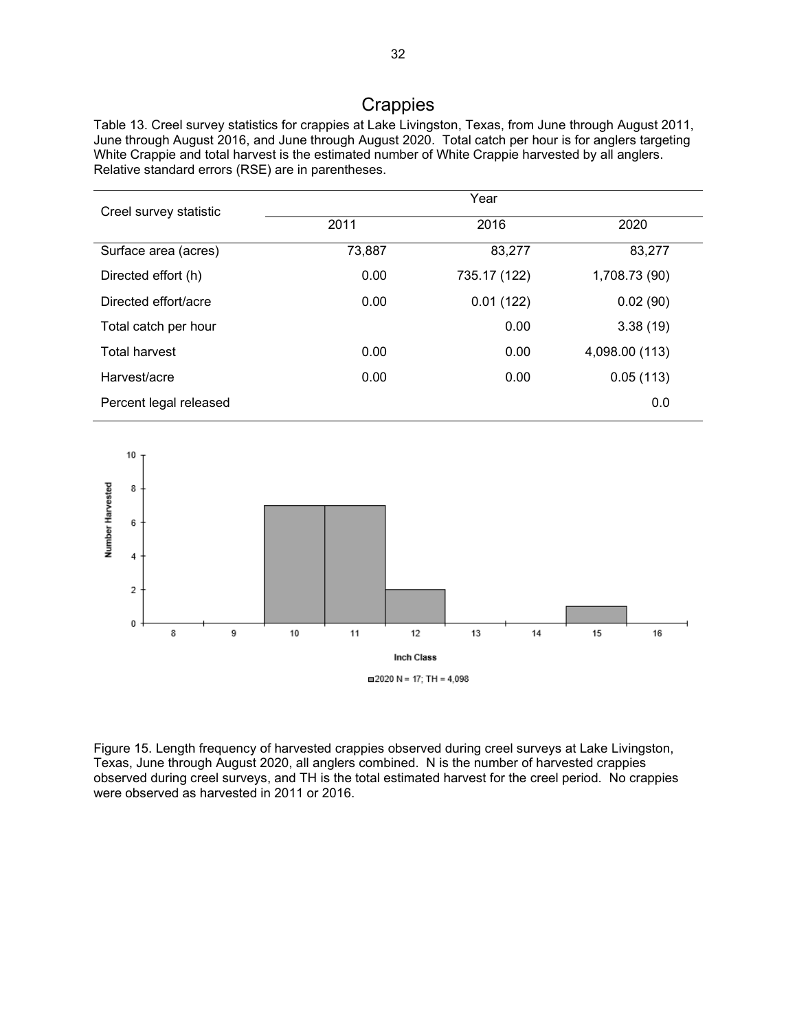# **Crappies**

<span id="page-33-0"></span>Table 13. Creel survey statistics for crappies at Lake Livingston, Texas, from June through August 2011, June through August 2016, and June through August 2020. Total catch per hour is for anglers targeting White Crappie and total harvest is the estimated number of White Crappie harvested by all anglers. Relative standard errors (RSE) are in parentheses.

|                        | Year   |              |                |  |  |
|------------------------|--------|--------------|----------------|--|--|
| Creel survey statistic | 2011   | 2016         | 2020           |  |  |
| Surface area (acres)   | 73,887 | 83,277       | 83,277         |  |  |
| Directed effort (h)    | 0.00   | 735.17 (122) | 1,708.73 (90)  |  |  |
| Directed effort/acre   | 0.00   | 0.01(122)    | 0.02(90)       |  |  |
| Total catch per hour   |        | 0.00         | 3.38(19)       |  |  |
| <b>Total harvest</b>   | 0.00   | 0.00         | 4,098.00 (113) |  |  |
| Harvest/acre           | 0.00   | 0.00         | 0.05(113)      |  |  |
| Percent legal released |        |              | 0.0            |  |  |



Figure 15. Length frequency of harvested crappies observed during creel surveys at Lake Livingston, Texas, June through August 2020, all anglers combined. N is the number of harvested crappies observed during creel surveys, and TH is the total estimated harvest for the creel period. No crappies were observed as harvested in 2011 or 2016.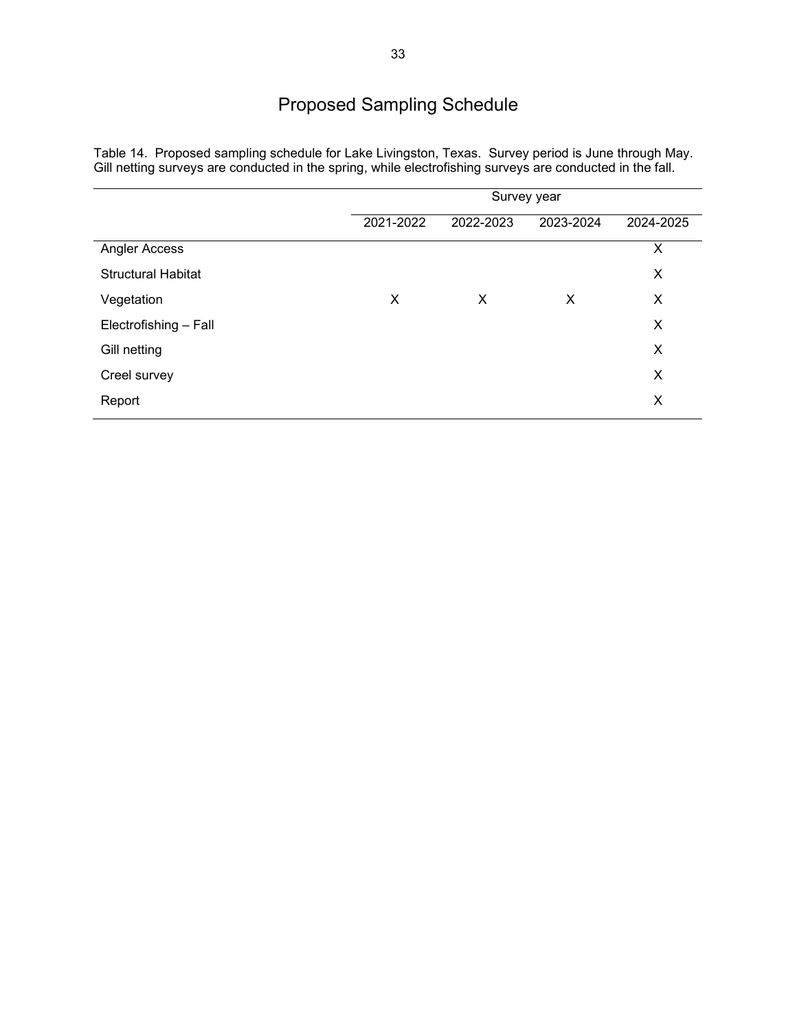### Proposed Sampling Schedule

|                           | Survey year |           |           |           |
|---------------------------|-------------|-----------|-----------|-----------|
|                           | 2021-2022   | 2022-2023 | 2023-2024 | 2024-2025 |
| Angler Access             |             |           |           | X         |
| <b>Structural Habitat</b> |             |           |           | X         |
| Vegetation                | X           | X         | X         | X         |
| Electrofishing - Fall     |             |           |           | X         |
| Gill netting              |             |           |           | X         |
| Creel survey              |             |           |           | X         |
| Report                    |             |           |           | X         |
|                           |             |           |           |           |

<span id="page-34-0"></span>Table 14. Proposed sampling schedule for Lake Livingston, Texas. Survey period is June through May. Gill netting surveys are conducted in the spring, while electrofishing surveys are conducted in the fall.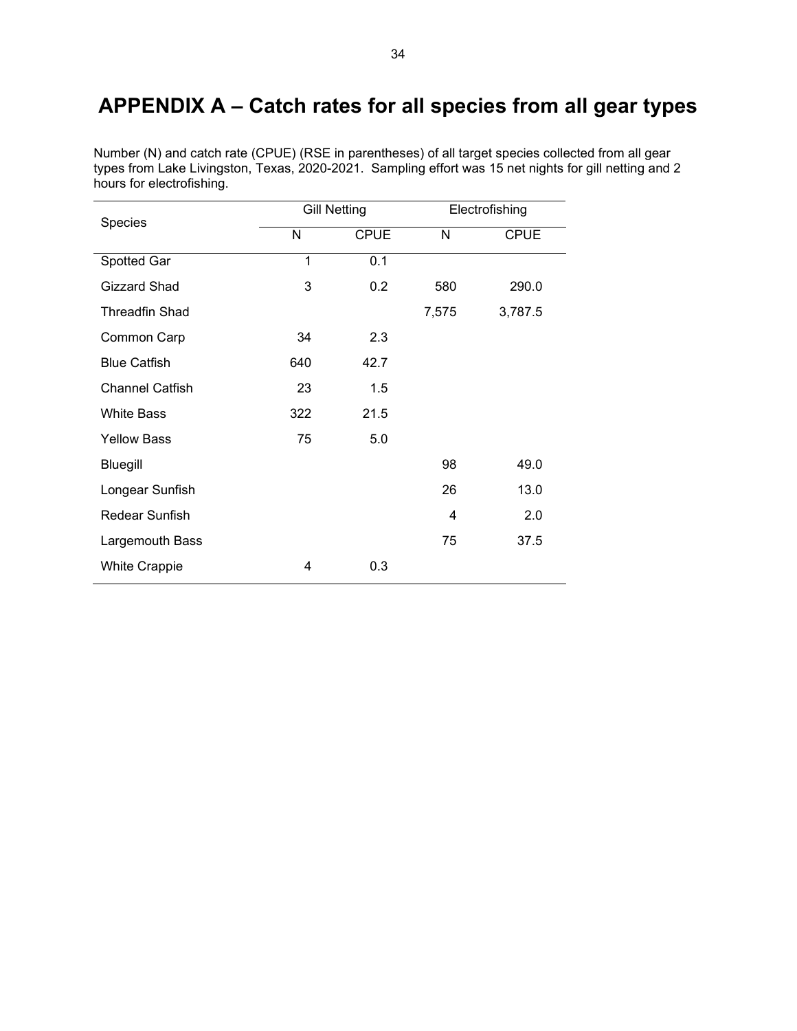# <span id="page-35-0"></span>**APPENDIX A – Catch rates for all species from all gear types**

Number (N) and catch rate (CPUE) (RSE in parentheses) of all target species collected from all gear types from Lake Livingston, Texas, 2020-2021. Sampling effort was 15 net nights for gill netting and 2 hours for electrofishing.

| Species                |     | <b>Gill Netting</b><br>Electrofishing |       |             |
|------------------------|-----|---------------------------------------|-------|-------------|
|                        | N   | <b>CPUE</b>                           | N     | <b>CPUE</b> |
| Spotted Gar            | 1   | 0.1                                   |       |             |
| Gizzard Shad           | 3   | 0.2                                   | 580   | 290.0       |
| <b>Threadfin Shad</b>  |     |                                       | 7,575 | 3,787.5     |
| Common Carp            | 34  | 2.3                                   |       |             |
| <b>Blue Catfish</b>    | 640 | 42.7                                  |       |             |
| <b>Channel Catfish</b> | 23  | 1.5                                   |       |             |
| <b>White Bass</b>      | 322 | 21.5                                  |       |             |
| <b>Yellow Bass</b>     | 75  | 5.0                                   |       |             |
| Bluegill               |     |                                       | 98    | 49.0        |
| Longear Sunfish        |     |                                       | 26    | 13.0        |
| Redear Sunfish         |     |                                       | 4     | 2.0         |
| Largemouth Bass        |     |                                       | 75    | 37.5        |
| <b>White Crappie</b>   | 4   | 0.3                                   |       |             |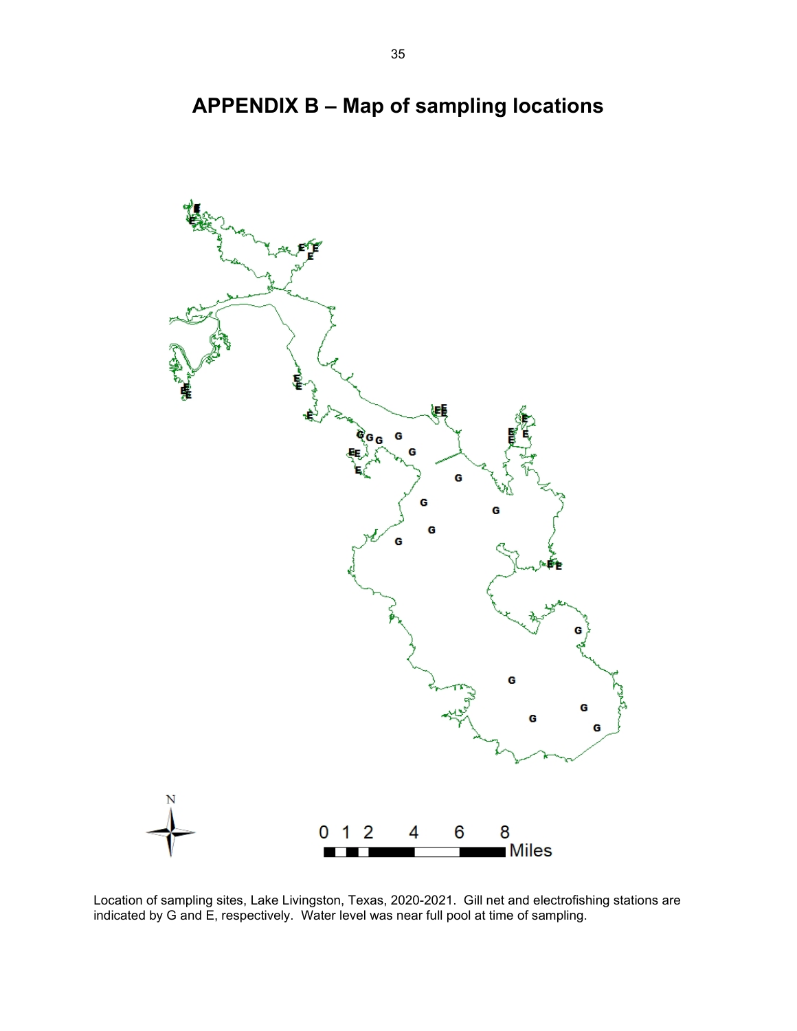<span id="page-36-0"></span>

**APPENDIX B – Map of sampling locations**

Location of sampling sites, Lake Livingston, Texas, 2020-2021. Gill net and electrofishing stations are indicated by G and E, respectively. Water level was near full pool at time of sampling.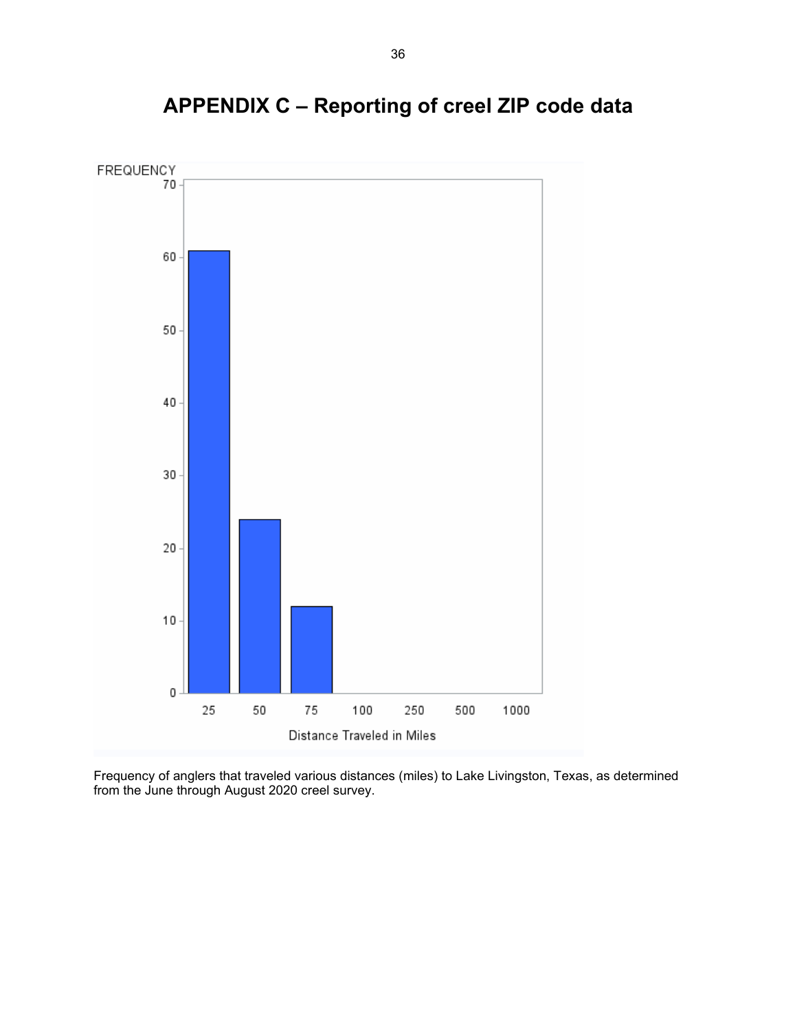<span id="page-37-0"></span>

# **APPENDIX C – Reporting of creel ZIP code data**

Frequency of anglers that traveled various distances (miles) to Lake Livingston, Texas, as determined from the June through August 2020 creel survey.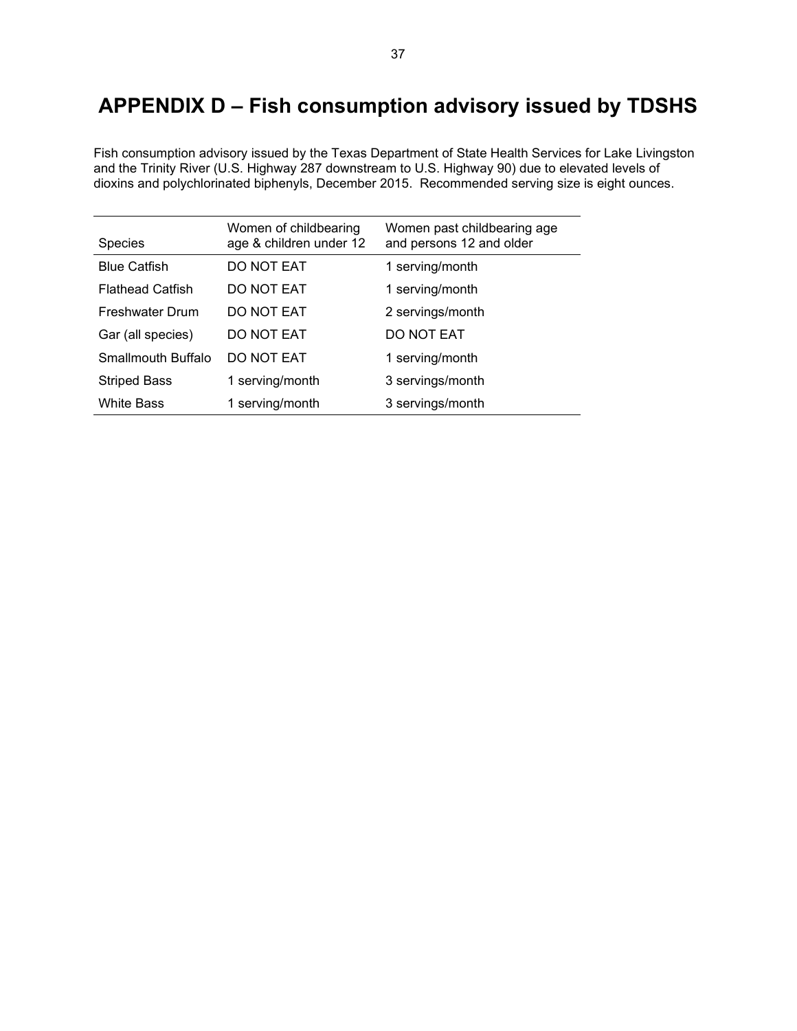# <span id="page-38-0"></span>**APPENDIX D – Fish consumption advisory issued by TDSHS**

Fish consumption advisory issued by the Texas Department of State Health Services for Lake Livingston and the Trinity River (U.S. Highway 287 downstream to U.S. Highway 90) due to elevated levels of dioxins and polychlorinated biphenyls, December 2015. Recommended serving size is eight ounces.

| <b>Species</b>          | Women of childbearing<br>age & children under 12 | Women past childbearing age<br>and persons 12 and older |
|-------------------------|--------------------------------------------------|---------------------------------------------------------|
| <b>Blue Catfish</b>     | DO NOT EAT                                       | 1 serving/month                                         |
| <b>Flathead Catfish</b> | DO NOT EAT                                       | 1 serving/month                                         |
| <b>Freshwater Drum</b>  | DO NOT EAT                                       | 2 servings/month                                        |
| Gar (all species)       | DO NOT EAT                                       | DO NOT EAT                                              |
| Smallmouth Buffalo      | DO NOT EAT                                       | 1 serving/month                                         |
| <b>Striped Bass</b>     | 1 serving/month                                  | 3 servings/month                                        |
| <b>White Bass</b>       | 1 serving/month                                  | 3 servings/month                                        |